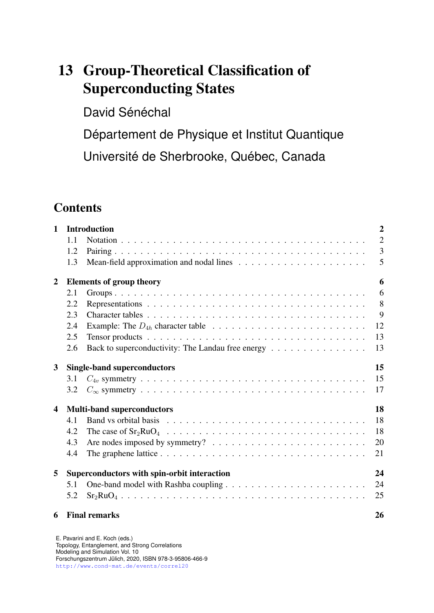# 13 Group-Theoretical Classification of Superconducting States

David Sénéchal

Département de Physique et Institut Quantique

Université de Sherbrooke, Québec, Canada

# **Contents**

| $\mathbf{1}$   |     | <b>Introduction</b>                                                                             | $\overline{2}$ |
|----------------|-----|-------------------------------------------------------------------------------------------------|----------------|
|                | 1.1 |                                                                                                 | $\overline{2}$ |
|                | 1.2 |                                                                                                 | 3              |
|                | 1.3 |                                                                                                 | 5              |
| $\overline{2}$ |     | <b>Elements of group theory</b>                                                                 | 6              |
|                | 2.1 |                                                                                                 | 6              |
|                | 2.2 |                                                                                                 | 8              |
|                | 2.3 |                                                                                                 | 9              |
|                | 2.4 | Example: The $D_{4h}$ character table $\ldots \ldots \ldots \ldots \ldots \ldots \ldots \ldots$ | 12             |
|                | 2.5 |                                                                                                 | 13             |
|                | 2.6 | Back to superconductivity: The Landau free energy                                               | 13             |
| 3              |     | <b>Single-band superconductors</b>                                                              | 15             |
|                | 3.1 |                                                                                                 | 15             |
|                | 3.2 |                                                                                                 | 17             |
| 4              |     | <b>Multi-band superconductors</b>                                                               | 18             |
|                | 4.1 |                                                                                                 | 18             |
|                | 4.2 |                                                                                                 | 18             |
|                | 4.3 | Are nodes imposed by symmetry? $\ldots \ldots \ldots \ldots \ldots \ldots \ldots \ldots$        | 20             |
|                | 4.4 |                                                                                                 | 21             |
| 5              |     | Superconductors with spin-orbit interaction                                                     | 24             |
|                | 5.1 |                                                                                                 | 24             |
|                | 5.2 |                                                                                                 | 25             |
| 6              |     | <b>Final remarks</b>                                                                            | 26             |

E. Pavarini and E. Koch (eds.) Topology, Entanglement, and Strong Correlations Modeling and Simulation Vol. 10 Forschungszentrum Julich, 2020, ISBN 978-3-95806-466-9 ¨ <http://www.cond-mat.de/events/correl20>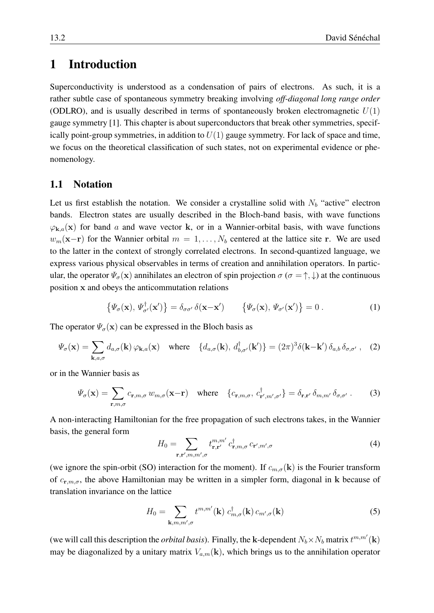# <span id="page-1-0"></span>1 Introduction

Superconductivity is understood as a condensation of pairs of electrons. As such, it is a rather subtle case of spontaneous symmetry breaking involving *off-diagonal long range order* (ODLRO), and is usually described in terms of spontaneously broken electromagnetic  $U(1)$ gauge symmetry [\[1\]](#page-26-0). This chapter is about superconductors that break other symmetries, specifically point-group symmetries, in addition to  $U(1)$  gauge symmetry. For lack of space and time, we focus on the theoretical classification of such states, not on experimental evidence or phenomenology.

### <span id="page-1-1"></span>1.1 Notation

Let us first establish the notation. We consider a crystalline solid with  $N_b$  "active" electron bands. Electron states are usually described in the Bloch-band basis, with wave functions  $\varphi_{\mathbf{k},a}(\mathbf{x})$  for band a and wave vector k, or in a Wannier-orbital basis, with wave functions  $w_m(\mathbf{x}-\mathbf{r})$  for the Wannier orbital  $m = 1, \ldots, N_b$  centered at the lattice site r. We are used to the latter in the context of strongly correlated electrons. In second-quantized language, we express various physical observables in terms of creation and annihilation operators. In particular, the operator  $\Psi_{\sigma}(\mathbf{x})$  annihilates an electron of spin projection  $\sigma$  ( $\sigma = \uparrow, \downarrow$ ) at the continuous position x and obeys the anticommutation relations

<span id="page-1-2"></span>
$$
\left\{ \Psi_{\sigma}(\mathbf{x}), \Psi_{\sigma'}^{\dagger}(\mathbf{x'}) \right\} = \delta_{\sigma \sigma'} \, \delta(\mathbf{x} - \mathbf{x'}) \qquad \left\{ \Psi_{\sigma}(\mathbf{x}), \Psi_{\sigma'}(\mathbf{x'}) \right\} = 0 \,. \tag{1}
$$

The operator  $\Psi_{\sigma}(\mathbf{x})$  can be expressed in the Bloch basis as

$$
\Psi_{\sigma}(\mathbf{x}) = \sum_{\mathbf{k},a,\sigma} d_{a,\sigma}(\mathbf{k}) \varphi_{\mathbf{k},a}(\mathbf{x}) \quad \text{where} \quad \{d_{a,\sigma}(\mathbf{k}), d_{b,\sigma'}^{\dagger}(\mathbf{k'})\} = (2\pi)^3 \delta(\mathbf{k} - \mathbf{k'}) \, \delta_{a,b} \, \delta_{\sigma,\sigma'} \,, \tag{2}
$$

or in the Wannier basis as

$$
\Psi_{\sigma}(\mathbf{x}) = \sum_{\mathbf{r},m,\sigma} c_{\mathbf{r},m,\sigma} w_{m,\sigma}(\mathbf{x}-\mathbf{r}) \quad \text{where} \quad \{c_{\mathbf{r},m,\sigma}, c_{\mathbf{r}',m',\sigma'}^{\dagger}\} = \delta_{\mathbf{r},\mathbf{r}'} \delta_{m,m'} \delta_{\sigma,\sigma'} . \tag{3}
$$

A non-interacting Hamiltonian for the free propagation of such electrons takes, in the Wannier basis, the general form

$$
H_0 = \sum_{\mathbf{r}, \mathbf{r}', m, m', \sigma} t_{\mathbf{r}, \mathbf{r}'}^{m, m'} c_{\mathbf{r}, m, \sigma}^{\dagger} c_{\mathbf{r}', m', \sigma}
$$
(4)

(we ignore the spin-orbit (SO) interaction for the moment). If  $c_{m,\sigma}(\mathbf{k})$  is the Fourier transform of  $c_{\mathbf{r},m,\sigma}$ , the above Hamiltonian may be written in a simpler form, diagonal in k because of translation invariance on the lattice

$$
H_0 = \sum_{\mathbf{k},m,m',\sigma} t^{m,m'}(\mathbf{k}) \ c_{m,\sigma}^{\dagger}(\mathbf{k}) \ c_{m',\sigma}(\mathbf{k}) \tag{5}
$$

(we will call this description the *orbital basis*). Finally, the k-dependent  $N_b \times N_b$  matrix  $t^{m,m'}(\mathbf{k})$ may be diagonalized by a unitary matrix  $V_{a,m}(\mathbf{k})$ , which brings us to the annihilation operator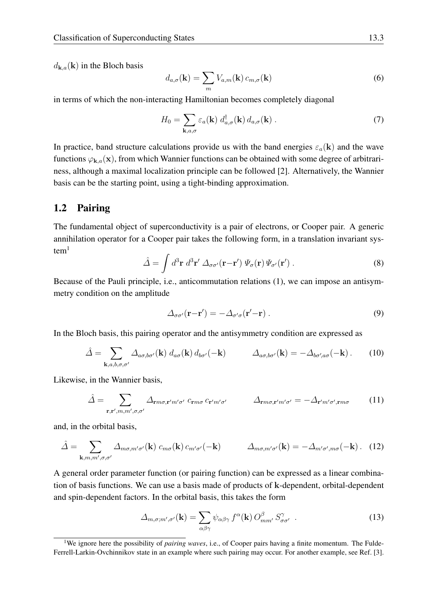$d_{\mathbf{k},a}(\mathbf{k})$  in the Bloch basis

<span id="page-2-3"></span>
$$
d_{a,\sigma}(\mathbf{k}) = \sum_{m} V_{a,m}(\mathbf{k}) c_{m,\sigma}(\mathbf{k})
$$
\n(6)

in terms of which the non-interacting Hamiltonian becomes completely diagonal

$$
H_0 = \sum_{\mathbf{k},a,\sigma} \varepsilon_a(\mathbf{k}) \, d_{a,\sigma}^\dagger(\mathbf{k}) \, d_{a,\sigma}(\mathbf{k}) \,. \tag{7}
$$

In practice, band structure calculations provide us with the band energies  $\varepsilon_a(\mathbf{k})$  and the wave functions  $\varphi_{\mathbf{k},a}(\mathbf{x})$ , from which Wannier functions can be obtained with some degree of arbitrariness, although a maximal localization principle can be followed [\[2\]](#page-26-1). Alternatively, the Wannier basis can be the starting point, using a tight-binding approximation.

## <span id="page-2-0"></span>1.2 Pairing

The fundamental object of superconductivity is a pair of electrons, or Cooper pair. A generic annihilation operator for a Cooper pair takes the following form, in a translation invariant sys- $tem<sup>1</sup>$  $tem<sup>1</sup>$  $tem<sup>1</sup>$ 

$$
\hat{\Delta} = \int d^3 \mathbf{r} \; d^3 \mathbf{r}' \; \Delta_{\sigma \sigma'}(\mathbf{r} - \mathbf{r}') \; \Psi_{\sigma}(\mathbf{r}) \; \Psi_{\sigma'}(\mathbf{r}')
$$
 (8)

Because of the Pauli principle, i.e., anticommutation relations [\(1\)](#page-1-2), we can impose an antisymmetry condition on the amplitude

$$
\Delta_{\sigma\sigma'}(\mathbf{r}-\mathbf{r}') = -\Delta_{\sigma'\sigma}(\mathbf{r}'-\mathbf{r})\,. \tag{9}
$$

In the Bloch basis, this pairing operator and the antisymmetry condition are expressed as

$$
\hat{\Delta} = \sum_{\mathbf{k},a,b,\sigma,\sigma'} \Delta_{a\sigma,b\sigma'}(\mathbf{k}) d_{a\sigma}(\mathbf{k}) d_{b\sigma'}(-\mathbf{k}) \qquad \Delta_{a\sigma,b\sigma'}(\mathbf{k}) = -\Delta_{b\sigma',a\sigma}(-\mathbf{k}) \,. \tag{10}
$$

Likewise, in the Wannier basis,

$$
\hat{\Delta} = \sum_{\mathbf{r}, \mathbf{r}', m, m', \sigma, \sigma'} \Delta_{\mathbf{r}m\sigma, \mathbf{r}'m'\sigma'} \ c_{\mathbf{r}m\sigma} \ c_{\mathbf{r}'m'\sigma'} \qquad \Delta_{\mathbf{r}m\sigma, \mathbf{r}'m'\sigma'} = -\Delta_{\mathbf{r}'m'\sigma', \mathbf{r}m\sigma} \qquad (11)
$$

and, in the orbital basis,

$$
\hat{\Delta} = \sum_{\mathbf{k},m,m',\sigma,\sigma'} \Delta_{m\sigma,m'\sigma'}(\mathbf{k}) \ c_{m\sigma}(\mathbf{k}) \ c_{m'\sigma'}(-\mathbf{k}) \qquad \Delta_{m\sigma,m'\sigma'}(\mathbf{k}) = -\Delta_{m'\sigma',m\sigma}(-\mathbf{k}) \ . \tag{12}
$$

A general order parameter function (or pairing function) can be expressed as a linear combination of basis functions. We can use a basis made of products of k-dependent, orbital-dependent and spin-dependent factors. In the orbital basis, this takes the form

<span id="page-2-2"></span>
$$
\Delta_{m,\sigma;m',\sigma'}(\mathbf{k}) = \sum_{\alpha\beta\gamma} \psi_{\alpha\beta\gamma} f^{\alpha}(\mathbf{k}) O^{\beta}_{mm'} S^{\gamma}_{\sigma\sigma'} . \qquad (13)
$$

<span id="page-2-1"></span><sup>&</sup>lt;sup>1</sup>We ignore here the possibility of *pairing waves*, i.e., of Cooper pairs having a finite momentum. The Fulde-Ferrell-Larkin-Ovchinnikov state in an example where such pairing may occur. For another example, see Ref. [\[3\]](#page-26-2).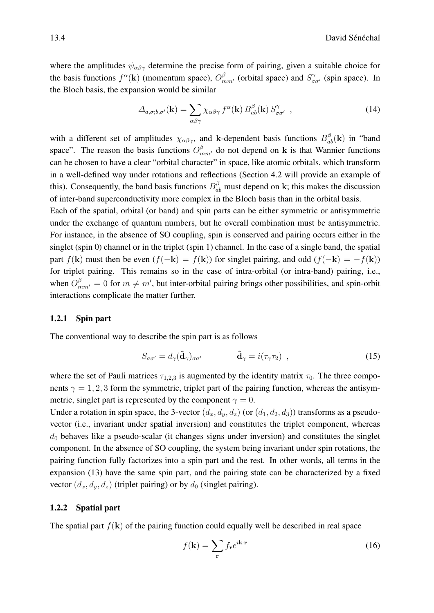where the amplitudes  $\psi_{\alpha\beta\gamma}$  determine the precise form of pairing, given a suitable choice for the basis functions  $f^{\alpha}(\mathbf{k})$  (momentum space),  $O_{mm'}^{\beta}$  (orbital space) and  $S_{\sigma\sigma'}^{\gamma}$  (spin space). In the Bloch basis, the expansion would be similar

$$
\Delta_{a,\sigma;b,\sigma'}(\mathbf{k}) = \sum_{\alpha\beta\gamma} \chi_{\alpha\beta\gamma} f^{\alpha}(\mathbf{k}) B^{\beta}_{ab}(\mathbf{k}) S^{\gamma}_{\sigma\sigma'}, \qquad (14)
$$

with a different set of amplitudes  $\chi_{\alpha\beta\gamma}$ , and k-dependent basis functions  $B_{ab}^{\beta}(\mathbf{k})$  in "band space". The reason the basis functions  $O_{mm'}^{\beta}$  do not depend on k is that Wannier functions can be chosen to have a clear "orbital character" in space, like atomic orbitals, which transform in a well-defined way under rotations and reflections (Section [4.2](#page-17-2) will provide an example of this). Consequently, the band basis functions  $B_{ab}^{\beta}$  must depend on k; this makes the discussion of inter-band superconductivity more complex in the Bloch basis than in the orbital basis.

Each of the spatial, orbital (or band) and spin parts can be either symmetric or antisymmetric under the exchange of quantum numbers, but he overall combination must be antisymmetric. For instance, in the absence of SO coupling, spin is conserved and pairing occurs either in the singlet (spin 0) channel or in the triplet (spin 1) channel. In the case of a single band, the spatial part  $f(\mathbf{k})$  must then be even  $(f(-\mathbf{k}) = f(\mathbf{k}))$  for singlet pairing, and odd  $(f(-\mathbf{k}) = -f(\mathbf{k}))$ for triplet pairing. This remains so in the case of intra-orbital (or intra-band) pairing, i.e., when  $O_{mm'}^{\beta} = 0$  for  $m \neq m'$ , but inter-orbital pairing brings other possibilities, and spin-orbit interactions complicate the matter further.

#### 1.2.1 Spin part

The conventional way to describe the spin part is as follows

<span id="page-3-0"></span>
$$
S_{\sigma\sigma'} = d_{\gamma}(\hat{\mathbf{d}}_{\gamma})_{\sigma\sigma'} \qquad \hat{\mathbf{d}}_{\gamma} = i(\tau_{\gamma}\tau_2) , \qquad (15)
$$

where the set of Pauli matrices  $\tau_{1,2,3}$  is augmented by the identity matrix  $\tau_0$ . The three components  $\gamma = 1, 2, 3$  form the symmetric, triplet part of the pairing function, whereas the antisymmetric, singlet part is represented by the component  $\gamma = 0$ .

Under a rotation in spin space, the 3-vector  $(d_x, d_y, d_z)$  (or  $(d_1, d_2, d_3)$ ) transforms as a pseudovector (i.e., invariant under spatial inversion) and constitutes the triplet component, whereas  $d_0$  behaves like a pseudo-scalar (it changes signs under inversion) and constitutes the singlet component. In the absence of SO coupling, the system being invariant under spin rotations, the pairing function fully factorizes into a spin part and the rest. In other words, all terms in the expansion [\(13\)](#page-2-2) have the same spin part, and the pairing state can be characterized by a fixed vector  $(d_x, d_y, d_z)$  (triplet pairing) or by  $d_0$  (singlet pairing).

#### 1.2.2 Spatial part

The spatial part  $f(\mathbf{k})$  of the pairing function could equally well be described in real space

$$
f(\mathbf{k}) = \sum_{\mathbf{r}} f_{\mathbf{r}} e^{i\mathbf{k}\cdot\mathbf{r}} \tag{16}
$$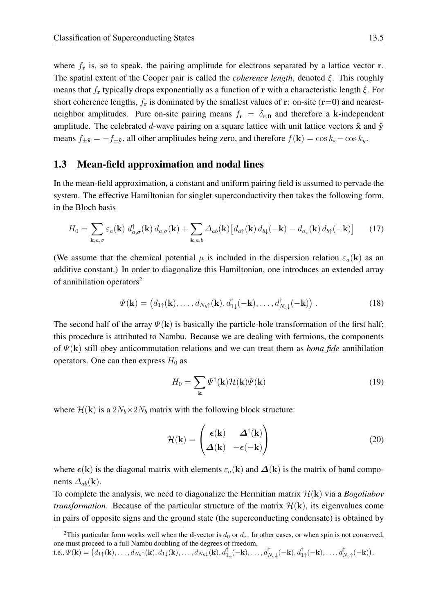where  $f_r$  is, so to speak, the pairing amplitude for electrons separated by a lattice vector  $r$ . The spatial extent of the Cooper pair is called the *coherence length*, denoted ξ. This roughly means that  $f_r$  typically drops exponentially as a function of r with a characteristic length  $\xi$ . For short coherence lengths,  $f_r$  is dominated by the smallest values of r: on-site (r=0) and nearestneighbor amplitudes. Pure on-site pairing means  $f_r = \delta_{r,0}$  and therefore a k-independent amplitude. The celebrated d-wave pairing on a square lattice with unit lattice vectors  $\hat{x}$  and  $\hat{y}$ means  $f_{\pm \hat{\mathbf{x}}} = -f_{\pm \hat{\mathbf{y}}}$ , all other amplitudes being zero, and therefore  $f(\mathbf{k}) = \cos k_x - \cos k_y$ .

#### <span id="page-4-0"></span>1.3 Mean-field approximation and nodal lines

In the mean-field approximation, a constant and uniform pairing field is assumed to pervade the system. The effective Hamiltonian for singlet superconductivity then takes the following form, in the Bloch basis

$$
H_0 = \sum_{\mathbf{k},a,\sigma} \varepsilon_a(\mathbf{k}) \ d_{a,\sigma}^{\dagger}(\mathbf{k}) \ d_{a,\sigma}(\mathbf{k}) + \sum_{\mathbf{k},a,b} \Delta_{ab}(\mathbf{k}) \left[ d_{a\uparrow}(\mathbf{k}) \ d_{b\downarrow}(-\mathbf{k}) - d_{a\downarrow}(\mathbf{k}) \ d_{b\uparrow}(-\mathbf{k}) \right]
$$
(17)

(We assume that the chemical potential  $\mu$  is included in the dispersion relation  $\varepsilon_a(\mathbf{k})$  as an additive constant.) In order to diagonalize this Hamiltonian, one introduces an extended array of annihilation operators<sup>[2](#page-4-1)</sup>

$$
\Psi(\mathbf{k}) = (d_{1\uparrow}(\mathbf{k}), \dots, d_{N_b\uparrow}(\mathbf{k}), d^{\dagger}_{1\downarrow}(-\mathbf{k}), \dots, d^{\dagger}_{N_b\downarrow}(-\mathbf{k})).
$$
\n(18)

The second half of the array  $\Psi(\mathbf{k})$  is basically the particle-hole transformation of the first half; this procedure is attributed to Nambu. Because we are dealing with fermions, the components of Ψ(k) still obey anticommutation relations and we can treat them as *bona fide* annihilation operators. One can then express  $H_0$  as

$$
H_0 = \sum_{\mathbf{k}} \Psi^{\dagger}(\mathbf{k}) \mathcal{H}(\mathbf{k}) \Psi(\mathbf{k}) \tag{19}
$$

where  $\mathcal{H}(\mathbf{k})$  is a  $2N_b \times 2N_b$  matrix with the following block structure:

<span id="page-4-2"></span>
$$
\mathcal{H}(\mathbf{k}) = \begin{pmatrix} \epsilon(\mathbf{k}) & \Delta^{\dagger}(\mathbf{k}) \\ \Delta(\mathbf{k}) & -\epsilon(-\mathbf{k}) \end{pmatrix}
$$
 (20)

where  $\epsilon(k)$  is the diagonal matrix with elements  $\varepsilon_a(k)$  and  $\Delta(k)$  is the matrix of band components  $\Delta_{ab}(\mathbf{k})$ .

To complete the analysis, we need to diagonalize the Hermitian matrix H(k) via a *Bogoliubov transformation*. Because of the particular structure of the matrix  $\mathcal{H}(\mathbf{k})$ , its eigenvalues come in pairs of opposite signs and the ground state (the superconducting condensate) is obtained by

<span id="page-4-1"></span><sup>&</sup>lt;sup>2</sup>This particular form works well when the d-vector is  $d_0$  or  $d_z$ . In other cases, or when spin is not conserved, one must proceed to a full Nambu doubling of the degrees of freedom,

i.e.,  $\Psi(\mathbf{k}) = (d_{1\uparrow}(\mathbf{k}), \ldots, d_{N_b\uparrow}(\mathbf{k}), d_{1\downarrow}(\mathbf{k}), \ldots, d_{N_b\downarrow}(\mathbf{k}), d_{1\downarrow}^{\dagger}(-\mathbf{k}), \ldots, d_{N_b\downarrow}^{\dagger}(-\mathbf{k}), d_{1\uparrow}^{\dagger}(-\mathbf{k}), \ldots, d_{N_b\uparrow}^{\dagger}(-\mathbf{k})).$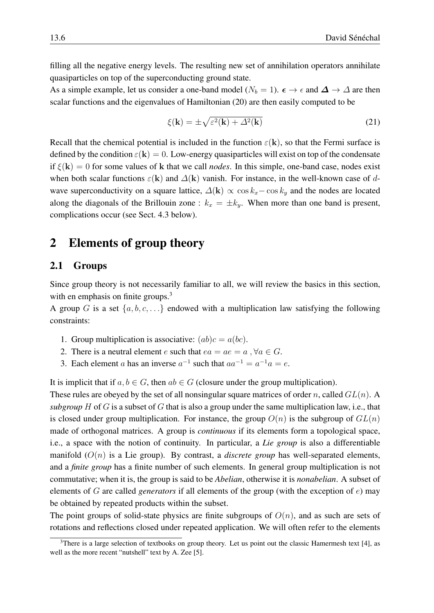filling all the negative energy levels. The resulting new set of annihilation operators annihilate quasiparticles on top of the superconducting ground state.

As a simple example, let us consider a one-band model ( $N_b = 1$ ).  $\epsilon \to \epsilon$  and  $\Delta \to \Delta$  are then scalar functions and the eigenvalues of Hamiltonian [\(20\)](#page-4-2) are then easily computed to be

$$
\xi(\mathbf{k}) = \pm \sqrt{\varepsilon^2(\mathbf{k}) + \Delta^2(\mathbf{k})}
$$
 (21)

Recall that the chemical potential is included in the function  $\varepsilon(k)$ , so that the Fermi surface is defined by the condition  $\varepsilon(\mathbf{k}) = 0$ . Low-energy quasiparticles will exist on top of the condensate if  $\xi(\mathbf{k}) = 0$  for some values of k that we call *nodes*. In this simple, one-band case, nodes exist when both scalar functions  $\varepsilon(\mathbf{k})$  and  $\Delta(\mathbf{k})$  vanish. For instance, in the well-known case of dwave superconductivity on a square lattice,  $\Delta(\mathbf{k}) \propto \cos k_x - \cos k_y$  and the nodes are located along the diagonals of the Brillouin zone :  $k_x = \pm k_y$ . When more than one band is present, complications occur (see Sect. [4.3](#page-19-0) below).

# <span id="page-5-0"></span>2 Elements of group theory

### <span id="page-5-1"></span>2.1 Groups

Since group theory is not necessarily familiar to all, we will review the basics in this section, with en emphasis on finite groups.<sup>[3](#page-5-2)</sup>

A group G is a set  $\{a, b, c, \ldots\}$  endowed with a multiplication law satisfying the following constraints:

- 1. Group multiplication is associative:  $(ab)c = a(bc)$ .
- 2. There is a neutral element e such that  $ea = ae = a, \forall a \in G$ .
- 3. Each element a has an inverse  $a^{-1}$  such that  $aa^{-1} = a^{-1}a = e$ .

It is implicit that if  $a, b \in G$ , then  $ab \in G$  (closure under the group multiplication).

These rules are obeyed by the set of all nonsingular square matrices of order n, called  $GL(n)$ . A *subgroup* H of G is a subset of G that is also a group under the same multiplication law, i.e., that is closed under group multiplication. For instance, the group  $O(n)$  is the subgroup of  $GL(n)$ made of orthogonal matrices. A group is *continuous* if its elements form a topological space, i.e., a space with the notion of continuity. In particular, a *Lie group* is also a differentiable manifold  $(O(n))$  is a Lie group). By contrast, a *discrete group* has well-separated elements, and a *finite group* has a finite number of such elements. In general group multiplication is not commutative; when it is, the group is said to be *Abelian*, otherwise it is *nonabelian*. A subset of elements of G are called *generators* if all elements of the group (with the exception of e) may be obtained by repeated products within the subset.

The point groups of solid-state physics are finite subgroups of  $O(n)$ , and as such are sets of rotations and reflections closed under repeated application. We will often refer to the elements

<span id="page-5-2"></span><sup>&</sup>lt;sup>3</sup>There is a large selection of textbooks on group theory. Let us point out the classic Hamermesh text [\[4\]](#page-26-3), as well as the more recent "nutshell" text by A. Zee [\[5\]](#page-26-4).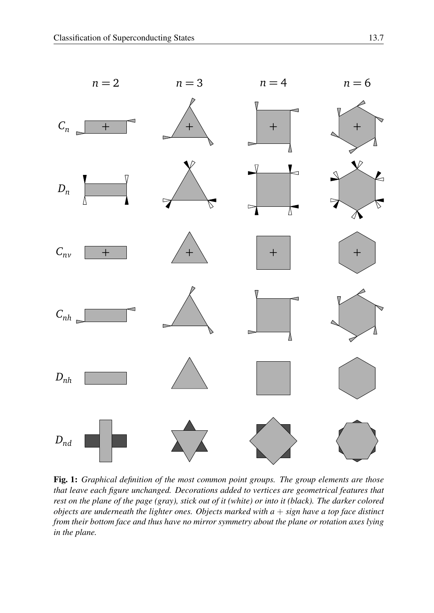

<span id="page-6-0"></span>Fig. 1: *Graphical definition of the most common point groups. The group elements are those that leave each figure unchanged. Decorations added to vertices are geometrical features that rest on the plane of the page (gray), stick out of it (white) or into it (black). The darker colored objects are underneath the lighter ones. Objects marked with a* + *sign have a top face distinct from their bottom face and thus have no mirror symmetry about the plane or rotation axes lying in the plane.*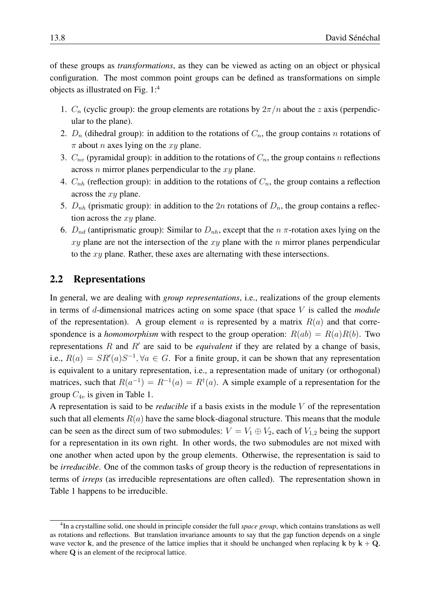of these groups as *transformations*, as they can be viewed as acting on an object or physical configuration. The most common point groups can be defined as transformations on simple objects as illustrated on Fig. [1:](#page-6-0)[4](#page-7-1)

- 1.  $C_n$  (cyclic group): the group elements are rotations by  $2\pi/n$  about the z axis (perpendicular to the plane).
- 2.  $D_n$  (dihedral group): in addition to the rotations of  $C_n$ , the group contains n rotations of  $\pi$  about *n* axes lying on the *xy* plane.
- 3.  $C_{nv}$  (pyramidal group): in addition to the rotations of  $C_n$ , the group contains n reflections across  $n$  mirror planes perpendicular to the  $xy$  plane.
- 4.  $C_{nh}$  (reflection group): in addition to the rotations of  $C_n$ , the group contains a reflection across the xy plane.
- 5.  $D_{nh}$  (prismatic group): in addition to the  $2n$  rotations of  $D_n$ , the group contains a reflection across the  $xy$  plane.
- 6.  $D_{nd}$  (antiprismatic group): Similar to  $D_{nh}$ , except that the  $n \pi$ -rotation axes lying on the  $xy$  plane are not the intersection of the  $xy$  plane with the n mirror planes perpendicular to the xy plane. Rather, these axes are alternating with these intersections.

### <span id="page-7-0"></span>2.2 Representations

In general, we are dealing with *group representations*, i.e., realizations of the group elements in terms of d-dimensional matrices acting on some space (that space V is called the *module* of the representation). A group element a is represented by a matrix  $R(a)$  and that correspondence is a *homomorphism* with respect to the group operation:  $R(ab) = R(a)R(b)$ . Two representations  $R$  and  $R'$  are said to be *equivalent* if they are related by a change of basis, i.e.,  $R(a) = SR'(a)S^{-1}$ ,  $\forall a \in G$ . For a finite group, it can be shown that any representation is equivalent to a unitary representation, i.e., a representation made of unitary (or orthogonal) matrices, such that  $R(a^{-1}) = R^{-1}(a) = R^{\dagger}(a)$ . A simple example of a representation for the group  $C_{4v}$  is given in Table [1.](#page-8-1)

A representation is said to be *reducible* if a basis exists in the module V of the representation such that all elements  $R(a)$  have the same block-diagonal structure. This means that the module can be seen as the direct sum of two submodules:  $V = V_1 \oplus V_2$ , each of  $V_{1,2}$  being the support for a representation in its own right. In other words, the two submodules are not mixed with one another when acted upon by the group elements. Otherwise, the representation is said to be *irreducible*. One of the common tasks of group theory is the reduction of representations in terms of *irreps* (as irreducible representations are often called). The representation shown in Table [1](#page-8-1) happens to be irreducible.

<span id="page-7-1"></span><sup>4</sup> In a crystalline solid, one should in principle consider the full *space group*, which contains translations as well as rotations and reflections. But translation invariance amounts to say that the gap function depends on a single wave vector k, and the presence of the lattice implies that it should be unchanged when replacing k by  $k + Q$ , where Q is an element of the reciprocal lattice.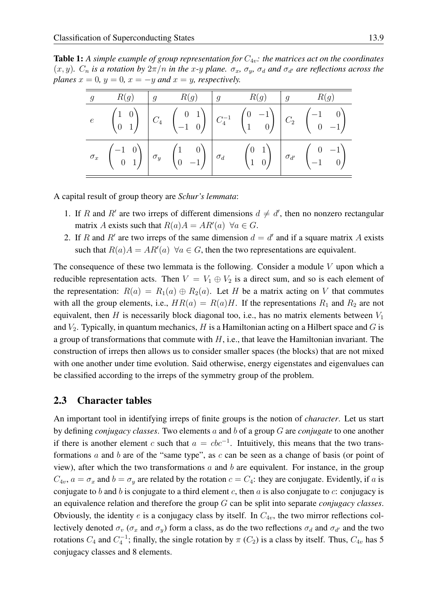<span id="page-8-1"></span>Table 1: A simple example of group representation for  $C_{4v}$ : the matrices act on the coordinates  $(x, y)$ .  $C_n$  *is a rotation by*  $2\pi/n$  *in the x-y plane.*  $\sigma_x$ ,  $\sigma_y$ ,  $\sigma_d$  *and*  $\sigma_{d'}$  *are reflections across the planes*  $x = 0$ *,*  $y = 0$ *,*  $x = -y$  *and*  $x = y$ *, respectively.* 

|  |  |  | $e \qquad \begin{pmatrix} 1 & 0 \ 0 & 1 \end{pmatrix} \quad \begin{pmatrix} 0 & 1 \ 0 & -1 & 0 \end{pmatrix} \quad \begin{pmatrix} 0 & -1 \ C_4^{-1} & \begin{pmatrix} 0 & -1 \ 1 & 0 \end{pmatrix} \quad \begin{pmatrix} 0 & -1 \ 0 & -1 \end{pmatrix} \ \end{pmatrix}$                                  |
|--|--|--|-----------------------------------------------------------------------------------------------------------------------------------------------------------------------------------------------------------------------------------------------------------------------------------------------------------|
|  |  |  | $\sigma_x \quad \begin{pmatrix} -1 & 0 \ 0 & 1 \end{pmatrix} \begin{pmatrix} \sigma_y & \begin{pmatrix} 1 & 0 \ 0 & -1 \end{pmatrix} \end{pmatrix} \sigma_d \qquad \begin{pmatrix} 0 & 1 \ 1 & 0 \end{pmatrix} \begin{pmatrix} \sigma_{d'} & \begin{pmatrix} 0 & -1 \ -1 & 0 \end{pmatrix} \end{pmatrix}$ |

A capital result of group theory are *Schur's lemmata*:

- 1. If R and R' are two irreps of different dimensions  $d \neq d'$ , then no nonzero rectangular matrix A exists such that  $R(a)A = AR'(a) \ \forall a \in G$ .
- 2. If R and R' are two irreps of the same dimension  $d = d'$  and if a square matrix A exists such that  $R(a)A = AR'(a) \ \forall a \in G$ , then the two representations are equivalent.

The consequence of these two lemmata is the following. Consider a module  $V$  upon which a reducible representation acts. Then  $V = V_1 \oplus V_2$  is a direct sum, and so is each element of the representation:  $R(a) = R_1(a) \oplus R_2(a)$ . Let H be a matrix acting on V that commutes with all the group elements, i.e.,  $HR(a) = R(a)H$ . If the representations  $R_1$  and  $R_2$  are not equivalent, then  $H$  is necessarily block diagonal too, i.e., has no matrix elements between  $V_1$ and  $V_2$ . Typically, in quantum mechanics, H is a Hamiltonian acting on a Hilbert space and G is a group of transformations that commute with  $H$ , i.e., that leave the Hamiltonian invariant. The construction of irreps then allows us to consider smaller spaces (the blocks) that are not mixed with one another under time evolution. Said otherwise, energy eigenstates and eigenvalues can be classified according to the irreps of the symmetry group of the problem.

### <span id="page-8-0"></span>2.3 Character tables

An important tool in identifying irreps of finite groups is the notion of *character*. Let us start by defining *conjugacy classes*. Two elements a and b of a group G are *conjugate* to one another if there is another element c such that  $a = cbc^{-1}$ . Intuitively, this means that the two transformations  $a$  and  $b$  are of the "same type", as  $c$  can be seen as a change of basis (or point of view), after which the two transformations  $a$  and  $b$  are equivalent. For instance, in the group  $C_{4v}$ ,  $a = \sigma_x$  and  $b = \sigma_y$  are related by the rotation  $c = C_4$ : they are conjugate. Evidently, if a is conjugate to b and b is conjugate to a third element c, then  $a$  is also conjugate to  $c$ : conjugacy is an equivalence relation and therefore the group G can be split into separate *conjugacy classes*. Obviously, the identity e is a conjugacy class by itself. In  $C_{4v}$ , the two mirror reflections collectively denoted  $\sigma_v$  ( $\sigma_x$  and  $\sigma_y$ ) form a class, as do the two reflections  $\sigma_d$  and  $\sigma_{d'}$  and the two rotations  $C_4$  and  $C_4^{-1}$ ; finally, the single rotation by  $\pi$  ( $C_2$ ) is a class by itself. Thus,  $C_{4v}$  has 5 conjugacy classes and 8 elements.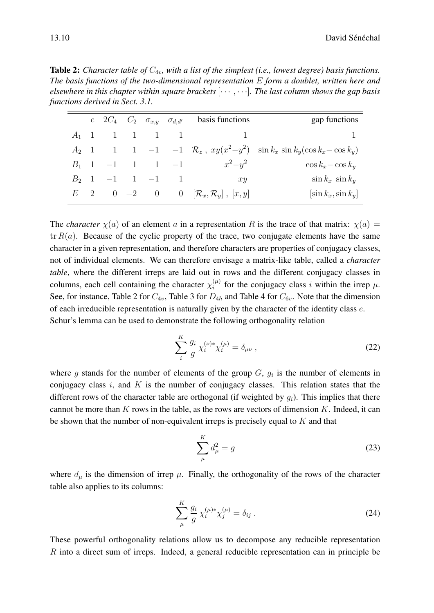<span id="page-9-0"></span>**Table 2:** *Character table of*  $C_{4v}$ *, with a list of the simplest (i.e., lowest degree) basis functions. The basis functions of the two-dimensional representation* E *form a doublet, written here and elsewhere in this chapter within square brackets* [· · · , · · ·]*. The last column shows the gap basis functions derived in Sect. [3.1.](#page-14-1)*

|         | $e \quad 2C_4 \quad C_2 \quad \sigma_{x,y} \quad \sigma_{d,d'}$ |  |                                             | basis functions                                              | gap functions                                                                    |
|---------|-----------------------------------------------------------------|--|---------------------------------------------|--------------------------------------------------------------|----------------------------------------------------------------------------------|
| $A_1$ 1 | $\mathbf{1}$                                                    |  | $\begin{array}{cccc} 1 & 1 & 1 \end{array}$ |                                                              |                                                                                  |
| $A_2$ 1 | $\begin{array}{ccc} \hline \end{array}$                         |  |                                             |                                                              | 1 -1 -1 $\mathcal{R}_z$ , $xy(x^2-y^2)$ $\sin k_x \sin k_y(\cos k_x - \cos k_y)$ |
|         |                                                                 |  | $B_1$ 1 -1 1 1 -1                           | $x^2-y^2$                                                    | $\cos k_x - \cos k_y$                                                            |
|         | $B_2$ 1 -1 1 -1 1                                               |  |                                             | x y                                                          | $\sin k_x \sin k_y$                                                              |
|         |                                                                 |  |                                             | $E = 2$ 0 -2 0 0 $[\mathcal{R}_x, \mathcal{R}_y]$ , $[x, y]$ | $[\sin k_x, \sin k_y]$                                                           |

The *character*  $\chi(a)$  of an element a in a representation R is the trace of that matrix:  $\chi(a)$  $tr R(a)$ . Because of the cyclic property of the trace, two conjugate elements have the same character in a given representation, and therefore characters are properties of conjugacy classes, not of individual elements. We can therefore envisage a matrix-like table, called a *character table*, where the different irreps are laid out in rows and the different conjugacy classes in columns, each cell containing the character  $\chi_i^{(\mu)}$  $\binom{\mu}{i}$  for the conjugacy class i within the irrep  $\mu$ . See, for instance, Table [2](#page-9-0) for  $C_{4v}$ , Table [3](#page-10-0) for  $D_{4h}$  and Table [4](#page-21-0) for  $C_{6v}$ . Note that the dimension of each irreducible representation is naturally given by the character of the identity class e. Schur's lemma can be used to demonstrate the following orthogonality relation

<span id="page-9-1"></span>
$$
\sum_{i}^{K} \frac{g_i}{g} \chi_i^{(\nu)*} \chi_i^{(\mu)} = \delta_{\mu\nu} , \qquad (22)
$$

where g stands for the number of elements of the group  $G$ ,  $g_i$  is the number of elements in conjugacy class i, and  $K$  is the number of conjugacy classes. This relation states that the different rows of the character table are orthogonal (if weighted by  $g_i$ ). This implies that there cannot be more than  $K$  rows in the table, as the rows are vectors of dimension  $K$ . Indeed, it can be shown that the number of non-equivalent irreps is precisely equal to  $K$  and that

$$
\sum_{\mu}^{K} d_{\mu}^{2} = g \tag{23}
$$

where  $d_{\mu}$  is the dimension of irrep  $\mu$ . Finally, the orthogonality of the rows of the character table also applies to its columns:

$$
\sum_{\mu}^{K} \frac{g_i}{g} \chi_i^{(\mu)*} \chi_j^{(\mu)} = \delta_{ij} \ . \tag{24}
$$

These powerful orthogonality relations allow us to decompose any reducible representation R into a direct sum of irreps. Indeed, a general reducible representation can in principle be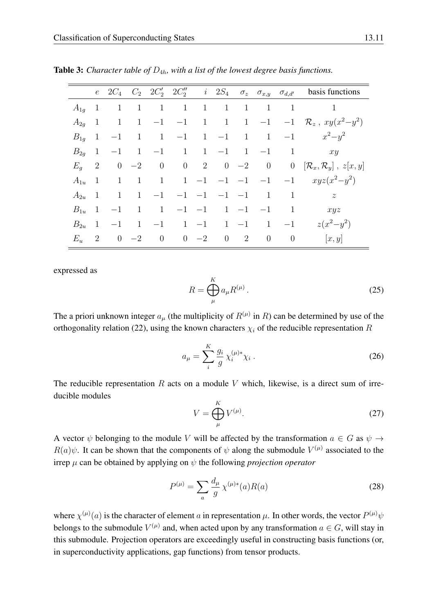<span id="page-10-0"></span>

|          | $e -$                     |              |                |                |                                                        |              |                         |                |                |                | $2C_4$ $C_2$ $2C'_2$ $2C''_2$ i $2S_4$ $\sigma_z$ $\sigma_{x,y}$ $\sigma_{d,d'}$ basis functions |
|----------|---------------------------|--------------|----------------|----------------|--------------------------------------------------------|--------------|-------------------------|----------------|----------------|----------------|--------------------------------------------------------------------------------------------------|
| $A_{1q}$ | $\overline{1}$            | $\mathbf{1}$ | $\overline{1}$ | 1              | 1                                                      |              | $1 \quad 1$             | 1              | $\mathbf{1}$   | -1             |                                                                                                  |
| $A_{2a}$ | $\overline{1}$            | $\mathbf{1}$ |                |                | $1 \quad -1 \quad -1 \quad 1 \quad 1 \quad 1 \quad -1$ |              |                         |                |                |                | $-1 \mathcal{R}_z$ , $xy(x^2-y^2)$                                                               |
| $B_{1q}$ | $\overline{1}$            | $-1$         | $\mathbf{1}$   |                | $1 \quad -1 \quad 1 \quad -1$                          |              |                         | $\overline{1}$ |                | $1 \quad -1$   | $x^2 - y^2$                                                                                      |
| $B_{2a}$ | $\overline{1}$            |              |                |                | $-1$ 1 $-1$ 1                                          |              | $1 -1 1 -1$             |                |                | $\mathbf{1}$   | xy                                                                                               |
| $E_q$    | $\overline{\phantom{a}2}$ |              | $0 -2$         | $\overline{0}$ | $0 \t 2 \t 0 \t -2$                                    |              |                         |                |                |                | 0 0 $[\mathcal{R}_x,\mathcal{R}_y]$ , $z[x,y]$                                                   |
| $A_{1u}$ | -1                        | $\mathbf{1}$ | 1              |                |                                                        |              |                         |                |                |                | 1 1 -1 -1 -1 -1 -1 $xyz(x^2-y^2)$                                                                |
| $A_{2u}$ | - 1                       | 1            | 1              | $-1$           |                                                        |              | $-1$ $-1$ $-1$ $-1$     |                | $\mathbf{1}$   | $\mathbf{1}$   | $\overline{z}$                                                                                   |
| $B_{1u}$ | $\overline{1}$            | $-1$         | $\mathbf{1}$   | 1              |                                                        |              | $-1$ $-1$ $1$ $-1$ $-1$ |                |                | $\mathbf{1}$   | xyz                                                                                              |
| $B_{2u}$ | 1                         | $-1$         |                | $1 \quad -1$   |                                                        | $1 -1$       |                         | $1 -1$         |                | $1 \quad -1$   | $z(x^2-y^2)$                                                                                     |
| $E_u$    | $\overline{2}$            |              | $0 \quad -2$   | $\overline{0}$ |                                                        | $0 \quad -2$ | $\overline{0}$          | <sup>2</sup>   | $\overline{0}$ | $\overline{0}$ | [x, y]                                                                                           |

**Table 3:** *Character table of*  $D_{4h}$ *, with a list of the lowest degree basis functions.* 

expressed as

$$
R = \bigoplus_{\mu}^K a_{\mu} R^{(\mu)}.
$$
 (25)

The a priori unknown integer  $a_{\mu}$  (the multiplicity of  $R^{(\mu)}$  in R) can be determined by use of the orthogonality relation [\(22\)](#page-9-1), using the known characters  $\chi_i$  of the reducible representation R

$$
a_{\mu} = \sum_{i}^{K} \frac{g_i}{g} \chi_i^{(\mu)*} \chi_i \,. \tag{26}
$$

The reducible representation  $R$  acts on a module  $V$  which, likewise, is a direct sum of irreducible modules

$$
V = \bigoplus_{\mu}^{K} V^{(\mu)}.
$$
 (27)

A vector  $\psi$  belonging to the module V will be affected by the transformation  $a \in G$  as  $\psi \to$  $R(a)\psi$ . It can be shown that the components of  $\psi$  along the submodule  $V^{(\mu)}$  associated to the irrep  $\mu$  can be obtained by applying on  $\psi$  the following *projection operator* 

<span id="page-10-1"></span>
$$
P^{(\mu)} = \sum_{a} \frac{d_{\mu}}{g} \chi^{(\mu)*}(a) R(a)
$$
 (28)

where  $\chi^{(\mu)}(a)$  is the character of element a in representation  $\mu$ . In other words, the vector  $P^{(\mu)}\psi$ belongs to the submodule  $V^{(\mu)}$  and, when acted upon by any transformation  $a \in G$ , will stay in this submodule. Projection operators are exceedingly useful in constructing basis functions (or, in superconductivity applications, gap functions) from tensor products.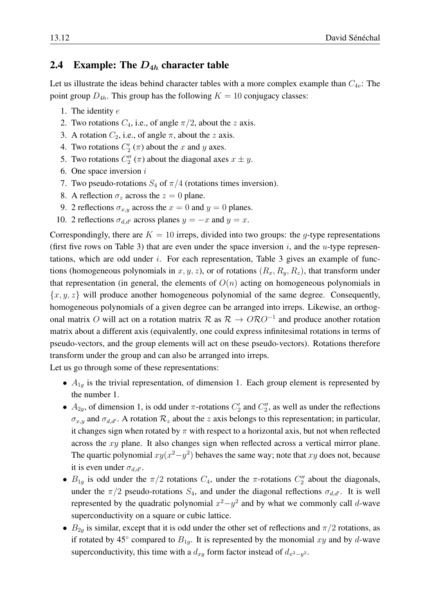# <span id="page-11-0"></span>2.4 Example: The  $D_{4h}$  character table

Let us illustrate the ideas behind character tables with a more complex example than  $C_{4v}$ : The point group  $D_{4h}$ . This group has the following  $K = 10$  conjugacy classes:

- 1. The identity e
- 2. Two rotations  $C_4$ , i.e., of angle  $\pi/2$ , about the z axis.
- 3. A rotation  $C_2$ , i.e., of angle  $\pi$ , about the z axis.
- 4. Two rotations  $C'_2(\pi)$  about the x and y axes.
- 5. Two rotations  $C_2''(\pi)$  about the diagonal axes  $x \pm y$ .
- 6. One space inversion  $i$
- 7. Two pseudo-rotations  $S_4$  of  $\pi/4$  (rotations times inversion).
- 8. A reflection  $\sigma_z$  across the  $z = 0$  plane.
- 9. 2 reflections  $\sigma_{x,y}$  across the  $x = 0$  and  $y = 0$  planes.
- 10. 2 reflections  $\sigma_{d,d'}$  across planes  $y = -x$  and  $y = x$ .

Correspondingly, there are  $K = 10$  irreps, divided into two groups: the g-type representations (first five rows on Table [3\)](#page-10-0) that are even under the space inversion  $i$ , and the u-type representations, which are odd under  $i$ . For each representation, Table [3](#page-10-0) gives an example of functions (homogeneous polynomials in  $x, y, z$ ), or of rotations  $(R_x, R_y, R_z)$ , that transform under that representation (in general, the elements of  $O(n)$  acting on homogeneous polynomials in  ${x, y, z}$  will produce another homogeneous polynomial of the same degree. Consequently, homogeneous polynomials of a given degree can be arranged into irreps. Likewise, an orthogonal matrix O will act on a rotation matrix  $\mathcal{R}$  as  $\mathcal{R} \to O \mathcal{R} O^{-1}$  and produce another rotation matrix about a different axis (equivalently, one could express infinitesimal rotations in terms of pseudo-vectors, and the group elements will act on these pseudo-vectors). Rotations therefore transform under the group and can also be arranged into irreps.

Let us go through some of these representations:

- $A_{1q}$  is the trivial representation, of dimension 1. Each group element is represented by the number 1.
- $A_{2g}$ , of dimension 1, is odd under  $\pi$ -rotations  $C_2'$  and  $C_2''$ , as well as under the reflections  $\sigma_{x,y}$  and  $\sigma_{d,d'}$ . A rotation  $\mathcal{R}_z$  about the z axis belongs to this representation; in particular, it changes sign when rotated by  $\pi$  with respect to a horizontal axis, but not when reflected across the xy plane. It also changes sign when reflected across a vertical mirror plane. The quartic polynomial  $xy(x^2-y^2)$  behaves the same way; note that  $xy$  does not, because it is even under  $\sigma_{d,d'}$ .
- $B_{1g}$  is odd under the  $\pi/2$  rotations  $C_4$ , under the  $\pi$ -rotations  $C''_2$  about the diagonals, under the  $\pi/2$  pseudo-rotations  $S_4$ , and under the diagonal reflections  $\sigma_{d,d'}$ . It is well represented by the quadratic polynomial  $x^2 - y^2$  and by what we commonly call d-wave superconductivity on a square or cubic lattice.
- $B_{2q}$  is similar, except that it is odd under the other set of reflections and  $\pi/2$  rotations, as if rotated by 45° compared to  $B_{1g}$ . It is represented by the monomial xy and by d-wave superconductivity, this time with a  $d_{xy}$  form factor instead of  $d_{x^2-y^2}$ .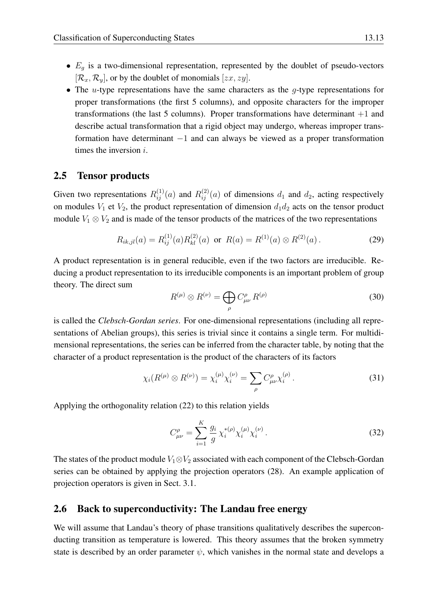- $E<sub>g</sub>$  is a two-dimensional representation, represented by the doublet of pseudo-vectors  $[\mathcal{R}_x, \mathcal{R}_y]$ , or by the doublet of monomials  $[zx, zy]$ .
- The *u*-type representations have the same characters as the  $g$ -type representations for proper transformations (the first 5 columns), and opposite characters for the improper transformations (the last 5 columns). Proper transformations have determinant  $+1$  and describe actual transformation that a rigid object may undergo, whereas improper transformation have determinant −1 and can always be viewed as a proper transformation times the inversion  $i$ .

### <span id="page-12-0"></span>2.5 Tensor products

Given two representations  $R_{ij}^{(1)}(a)$  and  $R_{ij}^{(2)}(a)$  of dimensions  $d_1$  and  $d_2$ , acting respectively on modules  $V_1$  et  $V_2$ , the product representation of dimension  $d_1d_2$  acts on the tensor product module  $V_1 \otimes V_2$  and is made of the tensor products of the matrices of the two representations

$$
R_{ik,jl}(a) = R_{ij}^{(1)}(a)R_{kl}^{(2)}(a) \text{ or } R(a) = R^{(1)}(a) \otimes R^{(2)}(a).
$$
 (29)

A product representation is in general reducible, even if the two factors are irreducible. Reducing a product representation to its irreducible components is an important problem of group theory. The direct sum

$$
R^{(\mu)} \otimes R^{(\nu)} = \bigoplus_{\rho} C^{\rho}_{\mu\nu} R^{(\rho)} \tag{30}
$$

is called the *Clebsch-Gordan series*. For one-dimensional representations (including all representations of Abelian groups), this series is trivial since it contains a single term. For multidimensional representations, the series can be inferred from the character table, by noting that the character of a product representation is the product of the characters of its factors

$$
\chi_i(R^{(\mu)} \otimes R^{(\nu)}) = \chi_i^{(\mu)} \chi_i^{(\nu)} = \sum_{\rho} C^{\rho}_{\mu\nu} \chi_i^{(\rho)}.
$$
 (31)

Applying the orthogonality relation [\(22\)](#page-9-1) to this relation yields

$$
C_{\mu\nu}^{\rho} = \sum_{i=1}^{K} \frac{g_i}{g} \chi_i^{*(\rho)} \chi_i^{(\mu)} \chi_i^{(\nu)}.
$$
 (32)

The states of the product module  $V_1 \otimes V_2$  associated with each component of the Clebsch-Gordan series can be obtained by applying the projection operators [\(28\)](#page-10-1). An example application of projection operators is given in Sect. [3.1.](#page-14-1)

### <span id="page-12-1"></span>2.6 Back to superconductivity: The Landau free energy

We will assume that Landau's theory of phase transitions qualitatively describes the superconducting transition as temperature is lowered. This theory assumes that the broken symmetry state is described by an order parameter  $\psi$ , which vanishes in the normal state and develops a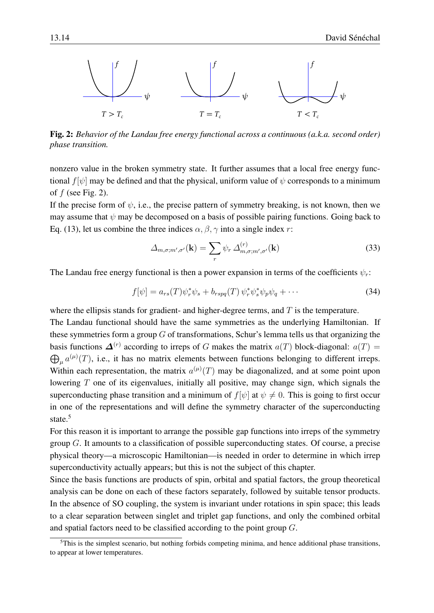

<span id="page-13-0"></span>Fig. 2: *Behavior of the Landau free energy functional across a continuous (a.k.a. second order) phase transition.*

nonzero value in the broken symmetry state. It further assumes that a local free energy functional  $f[\psi]$  may be defined and that the physical, uniform value of  $\psi$  corresponds to a minimum of  $f$  (see Fig. [2\)](#page-13-0).

If the precise form of  $\psi$ , i.e., the precise pattern of symmetry breaking, is not known, then we may assume that  $\psi$  may be decomposed on a basis of possible pairing functions. Going back to Eq. [\(13\)](#page-2-2), let us combine the three indices  $\alpha$ ,  $\beta$ ,  $\gamma$  into a single index r:

$$
\Delta_{m,\sigma;m',\sigma'}(\mathbf{k}) = \sum_{r} \psi_r \, \Delta_{m,\sigma;m',\sigma'}^{(r)}(\mathbf{k}) \tag{33}
$$

The Landau free energy functional is then a power expansion in terms of the coefficients  $\psi_r$ :

$$
f[\psi] = a_{rs}(T)\psi_r^*\psi_s + b_{rspq}(T)\psi_r^*\psi_s^*\psi_p\psi_q + \cdots \tag{34}
$$

where the ellipsis stands for gradient- and higher-degree terms, and  $T$  is the temperature.

The Landau functional should have the same symmetries as the underlying Hamiltonian. If these symmetries form a group  $G$  of transformations, Schur's lemma tells us that organizing the basis functions  $\mathbf{\Delta}^{(r)}$  according to irreps of G makes the matrix  $a(T)$  block-diagonal:  $a(T)$  =  $\bigoplus_{\mu} a^{(\mu)}(T)$ , i.e., it has no matrix elements between functions belonging to different irreps. Within each representation, the matrix  $a^{(\mu)}(T)$  may be diagonalized, and at some point upon lowering T one of its eigenvalues, initially all positive, may change sign, which signals the superconducting phase transition and a minimum of  $f[\psi]$  at  $\psi \neq 0$ . This is going to first occur in one of the representations and will define the symmetry character of the superconducting state.<sup>[5](#page-13-1)</sup>

For this reason it is important to arrange the possible gap functions into irreps of the symmetry group G. It amounts to a classification of possible superconducting states. Of course, a precise physical theory—a microscopic Hamiltonian—is needed in order to determine in which irrep superconductivity actually appears; but this is not the subject of this chapter.

Since the basis functions are products of spin, orbital and spatial factors, the group theoretical analysis can be done on each of these factors separately, followed by suitable tensor products. In the absence of SO coupling, the system is invariant under rotations in spin space; this leads to a clear separation between singlet and triplet gap functions, and only the combined orbital and spatial factors need to be classified according to the point group G.

<span id="page-13-1"></span><sup>&</sup>lt;sup>5</sup>This is the simplest scenario, but nothing forbids competing minima, and hence additional phase transitions, to appear at lower temperatures.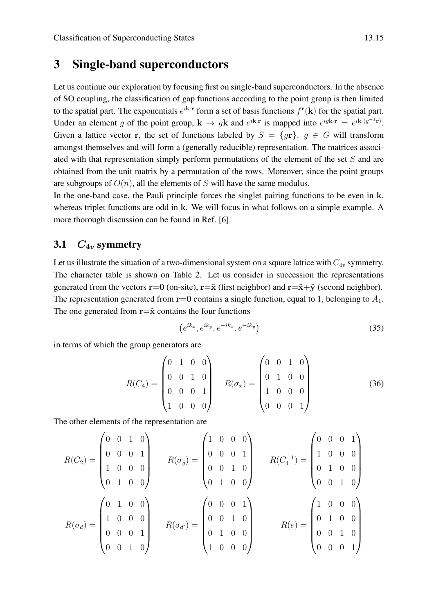# <span id="page-14-0"></span>3 Single-band superconductors

Let us continue our exploration by focusing first on single-band superconductors. In the absence of SO coupling, the classification of gap functions according to the point group is then limited to the spatial part. The exponentials  $e^{i\mathbf{k}\cdot\mathbf{r}}$  form a set of basis functions  $f^{\mathbf{r}}(\mathbf{k})$  for the spatial part. Under an element g of the point group,  $\mathbf{k} \to g\mathbf{k}$  and  $e^{i\mathbf{k}\cdot\mathbf{r}}$  is mapped into  $e^{ig\mathbf{k}\cdot\mathbf{r}} = e^{i\mathbf{k}\cdot(g^{-1}\mathbf{r})}$ . Given a lattice vector r, the set of functions labeled by  $S = \{qr\}$ ,  $q \in G$  will transform amongst themselves and will form a (generally reducible) representation. The matrices associated with that representation simply perform permutations of the element of the set S and are obtained from the unit matrix by a permutation of the rows. Moreover, since the point groups are subgroups of  $O(n)$ , all the elements of S will have the same modulus.

In the one-band case, the Pauli principle forces the singlet pairing functions to be even in k, whereas triplet functions are odd in k. We will focus in what follows on a simple example. A more thorough discussion can be found in Ref. [\[6\]](#page-26-5).

### <span id="page-14-1"></span>3.1  $C_{4v}$  symmetry

Let us illustrate the situation of a two-dimensional system on a square lattice with  $C_{4v}$  symmetry. The character table is shown on Table [2.](#page-9-0) Let us consider in succession the representations generated from the vectors  $r=0$  (on-site),  $r=\hat{x}$  (first neighbor) and  $r=\hat{x}+\hat{y}$  (second neighbor). The representation generated from  $r=0$  contains a single function, equal to 1, belonging to  $A_1$ . The one generated from  $\mathbf{r}=\hat{\mathbf{x}}$  contains the four functions

<span id="page-14-2"></span>
$$
\left(e^{ik_x}, e^{ik_y}, e^{-ik_x}, e^{-ik_y}\right) \tag{35}
$$

in terms of which the group generators are

$$
R(C_4) = \begin{pmatrix} 0 & 1 & 0 & 0 \\ 0 & 0 & 1 & 0 \\ 0 & 0 & 0 & 1 \\ 1 & 0 & 0 & 0 \end{pmatrix} \qquad R(\sigma_x) = \begin{pmatrix} 0 & 0 & 1 & 0 \\ 0 & 1 & 0 & 0 \\ 1 & 0 & 0 & 0 \\ 0 & 0 & 0 & 1 \end{pmatrix}
$$
(36)

The other elements of the representation are

$$
R(C_2) = \begin{pmatrix} 0 & 0 & 1 & 0 \\ 0 & 0 & 0 & 1 \\ 1 & 0 & 0 & 0 \\ 0 & 1 & 0 & 0 \end{pmatrix} \qquad R(\sigma_y) = \begin{pmatrix} 1 & 0 & 0 & 0 \\ 0 & 0 & 0 & 1 \\ 0 & 0 & 1 & 0 \\ 0 & 1 & 0 & 0 \end{pmatrix} \qquad R(C_4^{-1}) = \begin{pmatrix} 0 & 0 & 0 & 1 \\ 1 & 0 & 0 & 0 \\ 0 & 1 & 0 & 0 \\ 0 & 0 & 1 & 0 \end{pmatrix}
$$

$$
R(\sigma_d) = \begin{pmatrix} 0 & 1 & 0 & 0 \\ 1 & 0 & 0 & 0 \\ 0 & 0 & 0 & 1 \\ 0 & 0 & 1 & 0 \end{pmatrix} \qquad R(\sigma_{d'}) = \begin{pmatrix} 0 & 0 & 0 & 1 \\ 0 & 0 & 1 & 0 \\ 0 & 1 & 0 & 0 \\ 1 & 0 & 0 & 0 \end{pmatrix} \qquad R(e) = \begin{pmatrix} 1 & 0 & 0 & 0 \\ 0 & 1 & 0 & 0 \\ 0 & 0 & 1 & 0 \\ 0 & 0 & 0 & 1 \end{pmatrix}
$$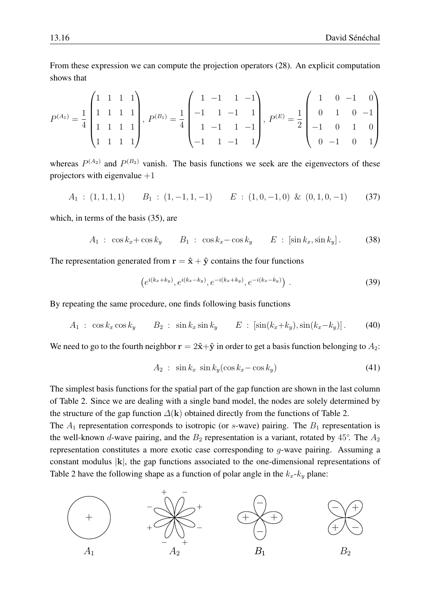From these expression we can compute the projection operators [\(28\)](#page-10-1). An explicit computation shows that

$$
P^{(A_1)} = \frac{1}{4} \begin{pmatrix} 1 & 1 & 1 & 1 \\ 1 & 1 & 1 & 1 \\ 1 & 1 & 1 & 1 \\ 1 & 1 & 1 & 1 \end{pmatrix}, P^{(B_1)} = \frac{1}{4} \begin{pmatrix} 1 & -1 & 1 & -1 \\ -1 & 1 & -1 & 1 \\ 1 & -1 & 1 & -1 \\ -1 & 1 & -1 & 1 \end{pmatrix}, P^{(E)} = \frac{1}{2} \begin{pmatrix} 1 & 0 & -1 & 0 \\ 0 & 1 & 0 & -1 \\ -1 & 0 & 1 & 0 \\ 0 & -1 & 0 & 1 \end{pmatrix}
$$

whereas  $P^{(A_2)}$  and  $P^{(B_2)}$  vanish. The basis functions we seek are the eigenvectors of these projectors with eigenvalue  $+1$ 

$$
A_1: (1,1,1,1) \qquad B_1: (1,-1,1,-1) \qquad E: (1,0,-1,0) \& (0,1,0,-1) \qquad (37)
$$

which, in terms of the basis [\(35\)](#page-14-2), are

$$
A_1: \cos k_x + \cos k_y \qquad B_1: \cos k_x - \cos k_y \qquad E: [\sin k_x, \sin k_y]. \tag{38}
$$

The representation generated from  $\mathbf{r} = \hat{\mathbf{x}} + \hat{\mathbf{y}}$  contains the four functions

$$
(e^{i(k_x+k_y)}, e^{i(k_x-k_y)}, e^{-i(k_x+k_y)}, e^{-i(k_x-k_y)})
$$
 (39)

By repeating the same procedure, one finds following basis functions

$$
A_1 : \cos k_x \cos k_y \qquad B_2 : \sin k_x \sin k_y \qquad E : [\sin(k_x + k_y), \sin(k_x - k_y)]. \tag{40}
$$

We need to go to the fourth neighbor  $\mathbf{r} = 2\hat{\mathbf{x}} + \hat{\mathbf{y}}$  in order to get a basis function belonging to  $A_2$ :

$$
A_2: \sin k_x \sin k_y (\cos k_x - \cos k_y) \tag{41}
$$

The simplest basis functions for the spatial part of the gap function are shown in the last column of Table [2.](#page-9-0) Since we are dealing with a single band model, the nodes are solely determined by the structure of the gap function  $\Delta(\mathbf{k})$  obtained directly from the functions of Table [2.](#page-9-0)

The  $A_1$  representation corresponds to isotropic (or s-wave) pairing. The  $B_1$  representation is the well-known d-wave pairing, and the  $B_2$  representation is a variant, rotated by 45°. The  $A_2$ representation constitutes a more exotic case corresponding to g-wave pairing. Assuming a constant modulus  $|k|$ , the gap functions associated to the one-dimensional representations of Table [2](#page-9-0) have the following shape as a function of polar angle in the  $k_x - k_y$  plane:

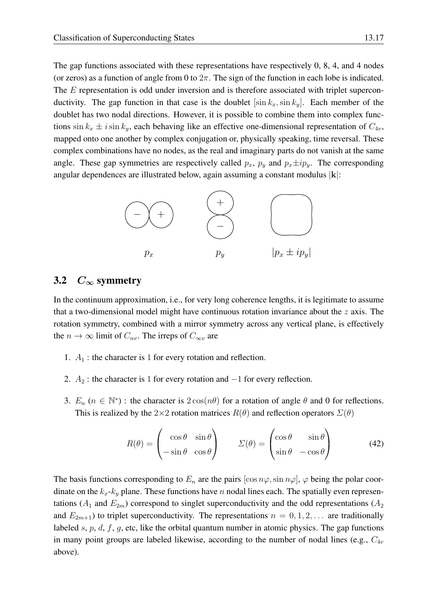The gap functions associated with these representations have respectively 0, 8, 4, and 4 nodes (or zeros) as a function of angle from 0 to  $2\pi$ . The sign of the function in each lobe is indicated. The E representation is odd under inversion and is therefore associated with triplet superconductivity. The gap function in that case is the doublet  $[\sin k_x, \sin k_y]$ . Each member of the doublet has two nodal directions. However, it is possible to combine them into complex functions  $\sin k_x \pm i \sin k_y$ , each behaving like an effective one-dimensional representation of  $C_{4v}$ , mapped onto one another by complex conjugation or, physically speaking, time reversal. These complex combinations have no nodes, as the real and imaginary parts do not vanish at the same angle. These gap symmetries are respectively called  $p_x$ ,  $p_y$  and  $p_x \pm i p_y$ . The corresponding angular dependences are illustrated below, again assuming a constant modulus  $|k|$ :



### <span id="page-16-0"></span>3.2  $C_{\infty}$  symmetry

In the continuum approximation, i.e., for very long coherence lengths, it is legitimate to assume that a two-dimensional model might have continuous rotation invariance about the  $z$  axis. The rotation symmetry, combined with a mirror symmetry across any vertical plane, is effectively the  $n \to \infty$  limit of  $C_{nv}$ . The irreps of  $C_{\infty v}$  are

- 1.  $A_1$ : the character is 1 for every rotation and reflection.
- 2.  $A_2$ : the character is 1 for every rotation and  $-1$  for every reflection.
- 3.  $E_n$  ( $n \in \mathbb{N}^*$ ) : the character is  $2\cos(n\theta)$  for a rotation of angle  $\theta$  and 0 for reflections. This is realized by the 2×2 rotation matrices  $R(\theta)$  and reflection operators  $\Sigma(\theta)$

$$
R(\theta) = \begin{pmatrix} \cos \theta & \sin \theta \\ -\sin \theta & \cos \theta \end{pmatrix} \qquad \Sigma(\theta) = \begin{pmatrix} \cos \theta & \sin \theta \\ \sin \theta & -\cos \theta \end{pmatrix}
$$
(42)

The basis functions corresponding to  $E_n$  are the pairs  $[\cos n\varphi, \sin n\varphi]$ ,  $\varphi$  being the polar coordinate on the  $k_x-k_y$  plane. These functions have n nodal lines each. The spatially even representations ( $A_1$  and  $E_{2m}$ ) correspond to singlet superconductivity and the odd representations ( $A_2$ ) and  $E_{2m+1}$ ) to triplet superconductivity. The representations  $n = 0, 1, 2, \ldots$  are traditionally labeled  $s, p, d, f, g$ , etc, like the orbital quantum number in atomic physics. The gap functions in many point groups are labeled likewise, according to the number of nodal lines (e.g.,  $C_{4v}$ ) above).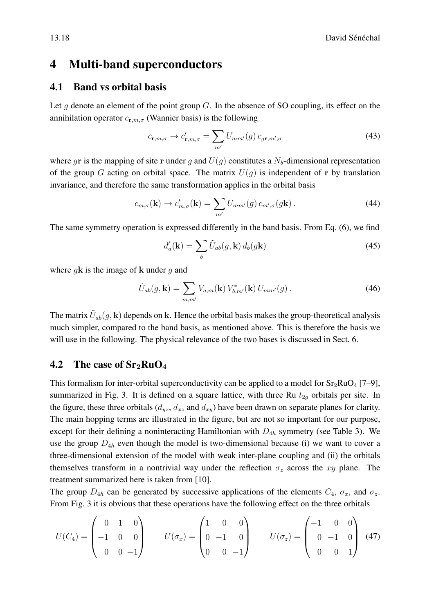# <span id="page-17-0"></span>4 Multi-band superconductors

## <span id="page-17-1"></span>4.1 Band vs orbital basis

Let g denote an element of the point group  $G$ . In the absence of SO coupling, its effect on the annihilation operator  $c_{\mathbf{r},m,\sigma}$  (Wannier basis) is the following

$$
c_{\mathbf{r},m,\sigma} \to c'_{\mathbf{r},m,\sigma} = \sum_{m'} U_{mm'}(g) c_{g\mathbf{r},m',\sigma}
$$
(43)

where gr is the mapping of site r under g and  $U(q)$  constitutes a  $N_b$ -dimensional representation of the group G acting on orbital space. The matrix  $U(q)$  is independent of r by translation invariance, and therefore the same transformation applies in the orbital basis

$$
c_{m,\sigma}(\mathbf{k}) \to c'_{m,\sigma}(\mathbf{k}) = \sum_{m'} U_{mm'}(g) c_{m',\sigma}(g\mathbf{k}). \tag{44}
$$

The same symmetry operation is expressed differently in the band basis. From Eq. [\(6\)](#page-2-3), we find

$$
d_a'(\mathbf{k}) = \sum_b \tilde{U}_{ab}(g, \mathbf{k}) d_b(g\mathbf{k})
$$
\n(45)

where  $q\mathbf{k}$  is the image of  $\mathbf k$  under  $q$  and

$$
\tilde{U}_{ab}(g, \mathbf{k}) = \sum_{m,m'} V_{a,m}(\mathbf{k}) V_{b,m'}^*(\mathbf{k}) U_{mm'}(g).
$$
\n(46)

The matrix  $\tilde{U}_{ab}(g,\mathbf{k})$  depends on  $\mathbf{k}$ . Hence the orbital basis makes the group-theoretical analysis much simpler, compared to the band basis, as mentioned above. This is therefore the basis we will use in the following. The physical relevance of the two bases is discussed in Sect. [6.](#page-25-0)

### <span id="page-17-2"></span>4.2 The case of  $Sr<sub>2</sub>RuO<sub>4</sub>$

This formalism for inter-orbital superconductivity can be applied to a model for  $Sr_2RuO_4$  [\[7](#page-26-6)[–9\]](#page-26-7), summarized in Fig. [3.](#page-18-0) It is defined on a square lattice, with three Ru  $t_{2g}$  orbitals per site. In the figure, these three orbitals  $(d_{yz}, d_{xz}$  and  $d_{xy}$ ) have been drawn on separate planes for clarity. The main hopping terms are illustrated in the figure, but are not so important for our purpose, except for their defining a noninteracting Hamiltonian with  $D_{4h}$  symmetry (see Table [3\)](#page-10-0). We use the group  $D_{4h}$  even though the model is two-dimensional because (i) we want to cover a three-dimensional extension of the model with weak inter-plane coupling and (ii) the orbitals themselves transform in a nontrivial way under the reflection  $\sigma_z$  across the xy plane. The treatment summarized here is taken from [\[10\]](#page-26-8).

The group  $D_{4h}$  can be generated by successive applications of the elements  $C_4$ ,  $\sigma_x$ , and  $\sigma_z$ . From Fig. [3](#page-18-0) it is obvious that these operations have the following effect on the three orbitals

<span id="page-17-3"></span>
$$
U(C_4) = \begin{pmatrix} 0 & 1 & 0 \\ -1 & 0 & 0 \\ 0 & 0 & -1 \end{pmatrix} \qquad U(\sigma_x) = \begin{pmatrix} 1 & 0 & 0 \\ 0 & -1 & 0 \\ 0 & 0 & -1 \end{pmatrix} \qquad U(\sigma_z) = \begin{pmatrix} -1 & 0 & 0 \\ 0 & -1 & 0 \\ 0 & 0 & 1 \end{pmatrix}
$$
(47)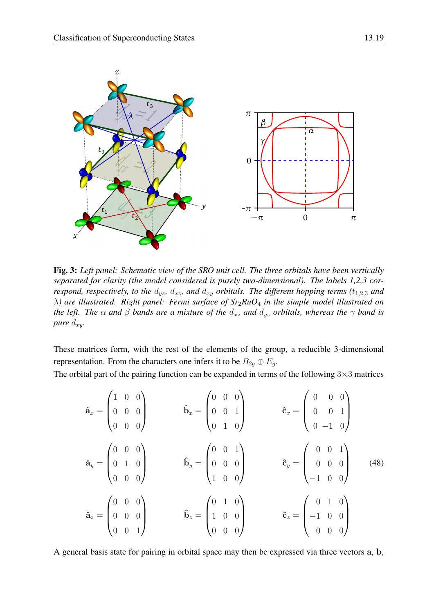

<span id="page-18-0"></span>Fig. 3: *Left panel: Schematic view of the SRO unit cell. The three orbitals have been vertically separated for clarity (the model considered is purely two-dimensional). The labels 1,2,3 correspond, respectively, to the*  $d_{yz}$ ,  $d_{xz}$ , and  $d_{xy}$  *orbitals. The different hopping terms* ( $t_{1,2,3}$  *and* λ*) are illustrated. Right panel: Fermi surface of Sr*2*RuO*<sup>4</sup> *in the simple model illustrated on the left. The*  $\alpha$  *and*  $\beta$  *bands are a mixture of the*  $d_{xz}$  *and*  $d_{yz}$  *orbitals, whereas the*  $\gamma$  *band is pure*  $d_{xy}$ *.* 

These matrices form, with the rest of the elements of the group, a reducible 3-dimensional representation. From the characters one infers it to be  $B_{2g} \oplus E_g$ .

The orbital part of the pairing function can be expanded in terms of the following  $3\times3$  matrices

<span id="page-18-1"></span>

| $\mathbf{\hat{a}}_x = \begin{pmatrix} 1 & 0 & 0 \ 0 & 0 & 0 \ 0 & 0 & 0 \end{pmatrix} \hspace{1cm} \mathbf{\hat{b}}_x = \begin{pmatrix} 0 & 0 & 0 \ 0 & 0 & 1 \ 0 & 1 & 0 \end{pmatrix}$ |                                                                                             | $\mathbf{\hat{c}}_x = \left(\begin{array}{ccc} 0 & 0 & 0 \ 0 & 0 & 1 \ 0 & -1 & 0 \end{array}\right)$ |  |
|------------------------------------------------------------------------------------------------------------------------------------------------------------------------------------------|---------------------------------------------------------------------------------------------|-------------------------------------------------------------------------------------------------------|--|
| $\mathbf{\hat{a}}_y = \begin{pmatrix} 0 & 0 & 0 \ 0 & 1 & 0 \ 0 & 0 & 0 \end{pmatrix}$                                                                                                   | $\mathbf{\hat{b}}_y = \begin{pmatrix} 0 & 0 & 1 \ 0 & 0 & 0 \ 1 & 0 & 0 \end{pmatrix} \, .$ | $\mathbf{\hat{c}}_y = \begin{pmatrix} 0 & 0 & 1 \ 0 & 0 & 0 \ -1 & 0 & 0 \end{pmatrix}$ (48)          |  |
| $\mathbf{\hat{a}}_z = \begin{pmatrix} 0 & 0 & 0 \ 0 & 0 & 0 \ 0 & 0 & 1 \end{pmatrix}$                                                                                                   | $\mathbf{\hat{b}}_z = \begin{pmatrix} 0 & 1 & 0 \ 1 & 0 & 0 \ 0 & 0 & 0 \end{pmatrix}$      | $\mathbf{\hat{c}}_z = \begin{pmatrix} 0 & 1 & 0 \ -1 & 0 & 0 \ 0 & 0 & 0 \end{pmatrix}$               |  |

A general basis state for pairing in orbital space may then be expressed via three vectors a, b,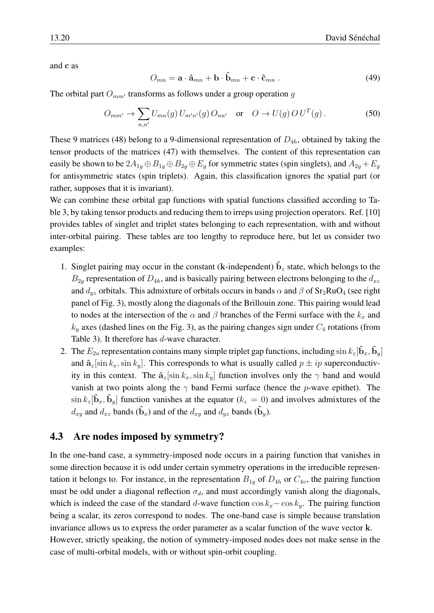and c as

$$
O_{mn} = \mathbf{a} \cdot \hat{\mathbf{a}}_{mn} + \mathbf{b} \cdot \hat{\mathbf{b}}_{mn} + \mathbf{c} \cdot \hat{\mathbf{c}}_{mn} \,. \tag{49}
$$

The orbital part  $O_{mm'}$  transforms as follows under a group operation q

<span id="page-19-1"></span>
$$
O_{mm'} \to \sum_{n,n'} U_{mn}(g) U_{m'n'}(g) O_{nn'} \quad \text{or} \quad O \to U(g) O U^T(g).
$$
 (50)

These 9 matrices [\(48\)](#page-18-1) belong to a 9-dimensional representation of  $D_{4h}$ , obtained by taking the tensor products of the matrices [\(47\)](#page-17-3) with themselves. The content of this representation can easily be shown to be  $2A_{1g} \oplus B_{1g} \oplus B_{2g} \oplus E_g$  for symmetric states (spin singlets), and  $A_{2g} + E_g$ for antisymmetric states (spin triplets). Again, this classification ignores the spatial part (or rather, supposes that it is invariant).

We can combine these orbital gap functions with spatial functions classified according to Table [3,](#page-10-0) by taking tensor products and reducing them to irreps using projection operators. Ref. [\[10\]](#page-26-8) provides tables of singlet and triplet states belonging to each representation, with and without inter-orbital pairing. These tables are too lengthy to reproduce here, but let us consider two examples:

- 1. Singlet pairing may occur in the constant (k-independent)  $\hat{b}_z$  state, which belongs to the  $B_{2g}$  representation of  $D_{4h}$ , and is basically pairing between electrons belonging to the  $d_{xz}$ and  $d_{yz}$  orbitals. This admixture of orbitals occurs in bands  $\alpha$  and  $\beta$  of Sr<sub>2</sub>RuO<sub>4</sub> (see right panel of Fig. [3\)](#page-18-0), mostly along the diagonals of the Brillouin zone. This pairing would lead to nodes at the intersection of the  $\alpha$  and  $\beta$  branches of the Fermi surface with the  $k_x$  and  $k_y$  axes (dashed lines on the Fig. [3\)](#page-18-0), as the pairing changes sign under  $C_4$  rotations (from Table [3\)](#page-10-0). It therefore has d-wave character.
- 2. The  $E_{2u}$  representation contains many simple triplet gap functions, including  $\sin k_z[\hat{\mathbf{b}}_x, \hat{\mathbf{b}}_y]$ and  $\hat{\mathbf{a}}_z[\sin k_x, \sin k_y]$ . This corresponds to what is usually called  $p \pm ip$  superconductivity in this context. The  $\hat{\mathbf{a}}_z[\sin k_x, \sin k_y]$  function involves only the  $\gamma$  band and would vanish at two points along the  $\gamma$  band Fermi surface (hence the p-wave epithet). The  $\sin k_z[\hat{\mathbf{b}}_x, \hat{\mathbf{b}}_y]$  function vanishes at the equator  $(k_z = 0)$  and involves admixtures of the  $d_{xy}$  and  $d_{xz}$  bands  $(\hat{\mathbf{b}}_x)$  and of the  $d_{xy}$  and  $d_{yz}$  bands  $(\hat{\mathbf{b}}_y)$ .

## <span id="page-19-0"></span>4.3 Are nodes imposed by symmetry?

In the one-band case, a symmetry-imposed node occurs in a pairing function that vanishes in some direction because it is odd under certain symmetry operations in the irreducible representation it belongs to. For instance, in the representation  $B_{1g}$  of  $D_{4h}$  or  $C_{4v}$ , the pairing function must be odd under a diagonal reflection  $\sigma_d$ , and must accordingly vanish along the diagonals, which is indeed the case of the standard d-wave function  $\cos k_x - \cos k_y$ . The pairing function being a scalar, its zeros correspond to nodes. The one-band case is simple because translation invariance allows us to express the order parameter as a scalar function of the wave vector k. However, strictly speaking, the notion of symmetry-imposed nodes does not make sense in the case of multi-orbital models, with or without spin-orbit coupling.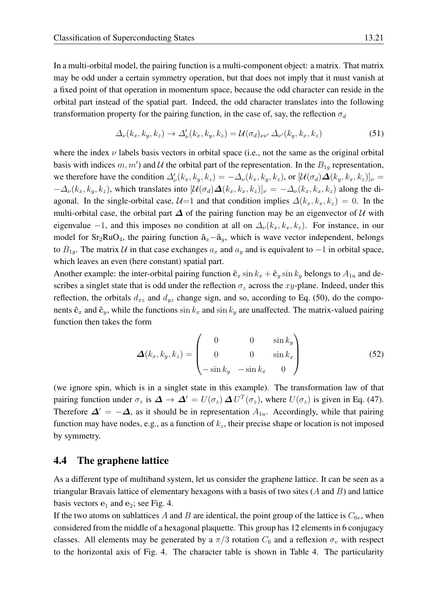In a multi-orbital model, the pairing function is a multi-component object: a matrix. That matrix may be odd under a certain symmetry operation, but that does not imply that it must vanish at a fixed point of that operation in momentum space, because the odd character can reside in the orbital part instead of the spatial part. Indeed, the odd character translates into the following transformation property for the pairing function, in the case of, say, the reflection  $\sigma_d$ 

$$
\Delta_{\nu}(k_x, k_y, k_z) \rightarrow \Delta_{\nu}'(k_x, k_y, k_z) = \mathcal{U}(\sigma_d)_{\nu\nu'} \,\Delta_{\nu'}(k_y, k_x, k_z) \tag{51}
$$

where the index  $\nu$  labels basis vectors in orbital space (i.e., not the same as the original orbital basis with indices  $m, m'$ ) and U the orbital part of the representation. In the  $B_{1g}$  representation, we therefore have the condition  $\Delta'_\nu(k_x, k_y, k_z) = -\Delta_\nu(k_x, k_y, k_z)$ , or  $[\mathcal{U}(\sigma_d)\mathbf{\Delta}(k_y, k_x, k_z)]_\nu =$  $-\Delta_{\nu}(k_x, k_y, k_z)$ , which translates into  $[\mathcal{U}(\sigma_d)\mathbf{\Delta}(k_x, k_x, k_z)]_{\nu} = -\Delta_{\nu}(k_x, k_x, k_z)$  along the diagonal. In the single-orbital case,  $\mathcal{U}=1$  and that condition implies  $\Delta(k_x, k_x, k_z) = 0$ . In the multi-orbital case, the orbital part  $\Delta$  of the pairing function may be an eigenvector of U with eigenvalue −1, and this imposes no condition at all on  $\Delta_{\nu}(k_x, k_x, k_z)$ . For instance, in our model for  $Sr<sub>2</sub>RuO<sub>4</sub>$ , the pairing function  $\hat{a}_x-\hat{a}_y$ , which is wave vector independent, belongs to  $B_{1g}$ . The matrix U in that case exchanges  $a_x$  and  $a_y$  and is equivalent to −1 in orbital space, which leaves an even (here constant) spatial part.

Another example: the inter-orbital pairing function  $\hat{\mathbf{c}}_x \sin k_x + \hat{\mathbf{c}}_y \sin k_y$  belongs to  $A_{1u}$  and describes a singlet state that is odd under the reflection  $\sigma_z$  across the xy-plane. Indeed, under this reflection, the orbitals  $d_{xz}$  and  $d_{yz}$  change sign, and so, according to Eq. [\(50\)](#page-19-1), do the components  $\hat{\mathbf{c}}_x$  and  $\hat{\mathbf{c}}_y$ , while the functions  $\sin k_x$  and  $\sin k_y$  are unaffected. The matrix-valued pairing function then takes the form

$$
\boldsymbol{\Delta}(k_x, k_y, k_z) = \begin{pmatrix} 0 & 0 & \sin k_y \\ 0 & 0 & \sin k_x \\ -\sin k_y & -\sin k_x & 0 \end{pmatrix}
$$
(52)

(we ignore spin, which is in a singlet state in this example). The transformation law of that pairing function under  $\sigma_z$  is  $\Delta \to \Delta' = U(\sigma_z) \Delta U^T(\sigma_z)$ , where  $U(\sigma_z)$  is given in Eq. [\(47\)](#page-17-3). Therefore  $\Delta' = -\Delta$ , as it should be in representation  $A_{1u}$ . Accordingly, while that pairing function may have nodes, e.g., as a function of  $k_z$ , their precise shape or location is not imposed by symmetry.

### <span id="page-20-0"></span>4.4 The graphene lattice

As a different type of multiband system, let us consider the graphene lattice. It can be seen as a triangular Bravais lattice of elementary hexagons with a basis of two sites  $(A \text{ and } B)$  and lattice basis vectors  $e_1$  and  $e_2$ ; see Fig. [4.](#page-21-1)

If the two atoms on sublattices A and B are identical, the point group of the lattice is  $C_{6v}$ , when considered from the middle of a hexagonal plaquette. This group has 12 elements in 6 conjugacy classes. All elements may be generated by a  $\pi/3$  rotation  $C_6$  and a reflexion  $\sigma_v$  with respect to the horizontal axis of Fig. [4.](#page-21-1) The character table is shown in Table [4.](#page-21-0) The particularity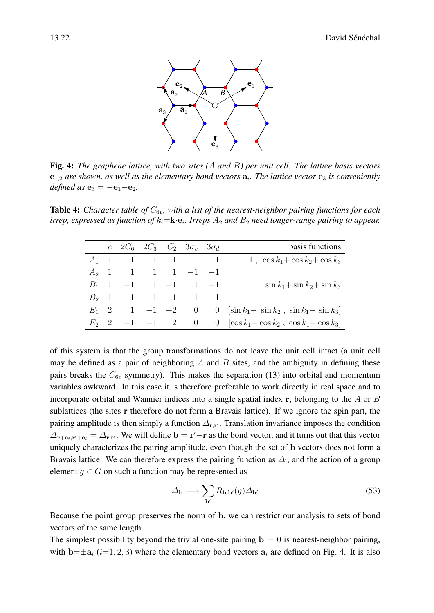

<span id="page-21-1"></span>Fig. 4: *The graphene lattice, with two sites (*A *and* B*) per unit cell. The lattice basis vectors*  $e_{1,2}$  are shown, as well as the elementary bond vectors  $a_i$ . The lattice vector  $e_3$  is conveniently *defined as*  $e_3 = -e_1 - e_2$ .

<span id="page-21-0"></span>**Table 4:** *Character table of*  $C_{6v}$ *, with a list of the nearest-neighbor pairing functions for each*  $i$ rrep, expressed as function of  $k_i$ = $\mathbf{k} \cdot \mathbf{e}_i$ . Irreps  $A_2$  and  $B_2$  need longer-range pairing to appear.

|         |                       | e $2C_6$ $2C_3$ $C_2$ $3\sigma_y$ $3\sigma_d$ |                                   | basis functions                                           |
|---------|-----------------------|-----------------------------------------------|-----------------------------------|-----------------------------------------------------------|
|         | $A_1 \quad 1 \quad 1$ | 1 1 1 1                                       |                                   | 1, $\cos k_1 + \cos k_2 + \cos k_3$                       |
| $A_2$ 1 | $\mathbf{1}$          | $1 \quad 1 \quad -1 \quad -1$                 |                                   |                                                           |
| $B_1$ 1 |                       | $-1$ 1 $-1$ 1 $-1$                            |                                   | $\sin k_1 + \sin k_2 + \sin k_3$                          |
| $B_2$ 1 |                       | $-1$ 1 $-1$ $-1$ 1                            |                                   |                                                           |
| $E_1$ 2 |                       | $1 -1 -2$                                     | $\begin{array}{cc} 0 \end{array}$ | 0 $\left[\sin k_1 - \sin k_2, \sin k_1 - \sin k_3\right]$ |
| $E_2$ 2 |                       | $-1$ $-1$ 2 0                                 |                                   | 0 $[\cos k_1 - \cos k_2, \cos k_1 - \cos k_3]$            |

of this system is that the group transformations do not leave the unit cell intact (a unit cell may be defined as a pair of neighboring  $A$  and  $B$  sites, and the ambiguity in defining these pairs breaks the  $C_{6v}$  symmetry). This makes the separation [\(13\)](#page-2-2) into orbital and momentum variables awkward. In this case it is therefore preferable to work directly in real space and to incorporate orbital and Wannier indices into a single spatial index r, belonging to the A or B sublattices (the sites r therefore do not form a Bravais lattice). If we ignore the spin part, the pairing amplitude is then simply a function  $\Delta_{\mathbf{r},\mathbf{r}'}$ . Translation invariance imposes the condition  $\Delta_{\mathbf{r}+\mathbf{e}_i,\mathbf{r}'+\mathbf{e}_i} = \Delta_{\mathbf{r},\mathbf{r}'}$ . We will define  $\mathbf{b} = \mathbf{r}'-\mathbf{r}$  as the bond vector, and it turns out that this vector uniquely characterizes the pairing amplitude, even though the set of b vectors does not form a Bravais lattice. We can therefore express the pairing function as  $\Delta_{\bf b}$  and the action of a group element  $g \in G$  on such a function may be represented as

$$
\Delta_{\mathbf{b}} \longrightarrow \sum_{\mathbf{b}'} R_{\mathbf{b},\mathbf{b}'}(g) \Delta_{\mathbf{b}'}
$$
 (53)

Because the point group preserves the norm of b, we can restrict our analysis to sets of bond vectors of the same length.

The simplest possibility beyond the trivial one-site pairing  $\mathbf{b} = 0$  is nearest-neighbor pairing, with  $\mathbf{b}=\pm \mathbf{a}_i$  (i=1, 2, 3) where the elementary bond vectors  $\mathbf{a}_i$  are defined on Fig. [4.](#page-21-1) It is also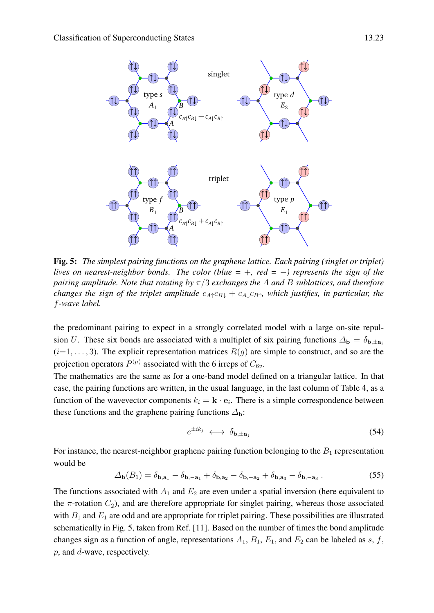

<span id="page-22-0"></span>Fig. 5: *The simplest pairing functions on the graphene lattice. Each pairing (singlet or triplet) lives on nearest-neighbor bonds. The color (blue =* +*, red =* −*) represents the sign of the pairing amplitude. Note that rotating by* π/3 *exchanges the* A *and* B *sublattices, and therefore changes the sign of the triplet amplitude*  $c_{A\uparrow}c_{B\downarrow} + c_{A\downarrow}c_{B\uparrow}$ *, which justifies, in particular, the* f*-wave label.*

the predominant pairing to expect in a strongly correlated model with a large on-site repulsion U. These six bonds are associated with a multiplet of six pairing functions  $\Delta_{\bf b} = \delta_{\bf b, \pm a_i}$  $(i=1,\ldots,3)$ . The explicit representation matrices  $R(g)$  are simple to construct, and so are the projection operators  $P^{(\mu)}$  associated with the 6 irreps of  $C_{6v}$ .

The mathematics are the same as for a one-band model defined on a triangular lattice. In that case, the pairing functions are written, in the usual language, in the last column of Table [4,](#page-21-0) as a function of the wavevector components  $k_i = \mathbf{k} \cdot \mathbf{e}_i$ . There is a simple correspondence between these functions and the graphene pairing functions  $\Delta_{\bf b}$ :

$$
e^{\pm ik_j} \longleftrightarrow \delta_{\mathbf{b},\pm \mathbf{a}_j} \tag{54}
$$

For instance, the nearest-neighbor graphene pairing function belonging to the  $B_1$  representation would be

$$
\Delta_{\mathbf{b}}(B_1) = \delta_{\mathbf{b},\mathbf{a}_1} - \delta_{\mathbf{b},-\mathbf{a}_1} + \delta_{\mathbf{b},\mathbf{a}_2} - \delta_{\mathbf{b},-\mathbf{a}_2} + \delta_{\mathbf{b},\mathbf{a}_3} - \delta_{\mathbf{b},-\mathbf{a}_3}.
$$
 (55)

The functions associated with  $A_1$  and  $E_2$  are even under a spatial inversion (here equivalent to the  $\pi$ -rotation  $C_2$ ), and are therefore appropriate for singlet pairing, whereas those associated with  $B_1$  and  $E_1$  are odd and are appropriate for triplet pairing. These possibilities are illustrated schematically in Fig. [5,](#page-22-0) taken from Ref. [\[11\]](#page-26-9). Based on the number of times the bond amplitude changes sign as a function of angle, representations  $A_1$ ,  $B_1$ ,  $E_1$ , and  $E_2$  can be labeled as s, f, p, and d-wave, respectively.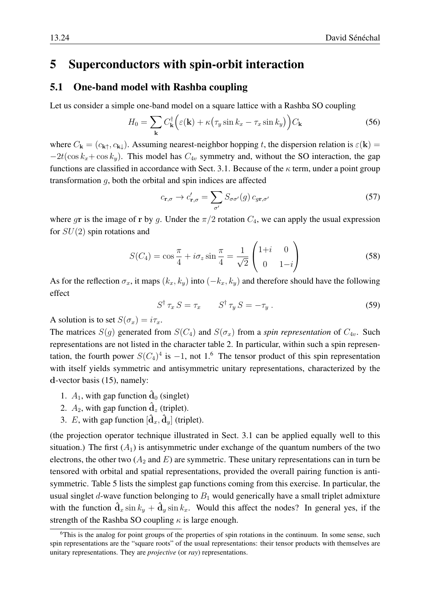# <span id="page-23-0"></span>5 Superconductors with spin-orbit interaction

#### <span id="page-23-1"></span>5.1 One-band model with Rashba coupling

Let us consider a simple one-band model on a square lattice with a Rashba SO coupling

$$
H_0 = \sum_{\mathbf{k}} C_{\mathbf{k}}^{\dagger} \Big( \varepsilon(\mathbf{k}) + \kappa \big( \tau_y \sin k_x - \tau_x \sin k_y \big) \Big) C_{\mathbf{k}} \tag{56}
$$

where  $C_{\bf k} = (c_{\bf k\uparrow}, c_{\bf k\downarrow})$ . Assuming nearest-neighbor hopping t, the dispersion relation is  $\varepsilon({\bf k}) =$  $-2t(\cos k_x + \cos k_y)$ . This model has  $C_{4v}$  symmetry and, without the SO interaction, the gap functions are classified in accordance with Sect. [3.1.](#page-14-1) Because of the  $\kappa$  term, under a point group transformation g, both the orbital and spin indices are affected

$$
c_{\mathbf{r},\sigma} \to c'_{\mathbf{r},\sigma} = \sum_{\sigma'} S_{\sigma\sigma'}(g) c_{g\mathbf{r},\sigma'} \tag{57}
$$

where gr is the image of r by g. Under the  $\pi/2$  rotation  $C_4$ , we can apply the usual expression for  $SU(2)$  spin rotations and

$$
S(C_4) = \cos\frac{\pi}{4} + i\sigma_z \sin\frac{\pi}{4} = \frac{1}{\sqrt{2}} \begin{pmatrix} 1+i & 0\\ 0 & 1-i \end{pmatrix}
$$
 (58)

As for the reflection  $\sigma_x$ , it maps  $(k_x, k_y)$  into  $(-k_x, k_y)$  and therefore should have the following effect

$$
S^{\dagger} \tau_x \, S = \tau_x \qquad S^{\dagger} \tau_y \, S = -\tau_y \,. \tag{59}
$$

A solution is to set  $S(\sigma_x) = i\tau_x$ .

The matrices  $S(q)$  generated from  $S(C_4)$  and  $S(\sigma_x)$  from a *spin representation* of  $C_{4v}$ . Such representations are not listed in the character table [2.](#page-9-0) In particular, within such a spin representation, the fourth power  $S(C_4)^4$  is  $-1$ , not 1.<sup>[6](#page-23-2)</sup> The tensor product of this spin representation with itself yields symmetric and antisymmetric unitary representations, characterized by the d-vector basis [\(15\)](#page-3-0), namely:

- 1.  $A_1$ , with gap function  $\hat{d}_0$  (singlet)
- 2.  $A_2$ , with gap function  $\hat{d}_z$  (triplet).
- 3. E, with gap function  $[\hat{d}_x, \hat{d}_y]$  (triplet).

(the projection operator technique illustrated in Sect. [3.1](#page-14-1) can be applied equally well to this situation.) The first  $(A_1)$  is antisymmetric under exchange of the quantum numbers of the two electrons, the other two  $(A_2 \text{ and } E)$  are symmetric. These unitary representations can in turn be tensored with orbital and spatial representations, provided the overall pairing function is antisymmetric. Table [5](#page-24-1) lists the simplest gap functions coming from this exercise. In particular, the usual singlet  $d$ -wave function belonging to  $B_1$  would generically have a small triplet admixture with the function  $\hat{\mathbf{d}}_x \sin k_y + \hat{\mathbf{d}}_y \sin k_x$ . Would this affect the nodes? In general yes, if the strength of the Rashba SO coupling  $\kappa$  is large enough.

<span id="page-23-2"></span><sup>&</sup>lt;sup>6</sup>This is the analog for point groups of the properties of spin rotations in the continuum. In some sense, such spin representations are the "square roots" of the usual representations: their tensor products with themselves are unitary representations. They are *projective* (or *ray*) representations.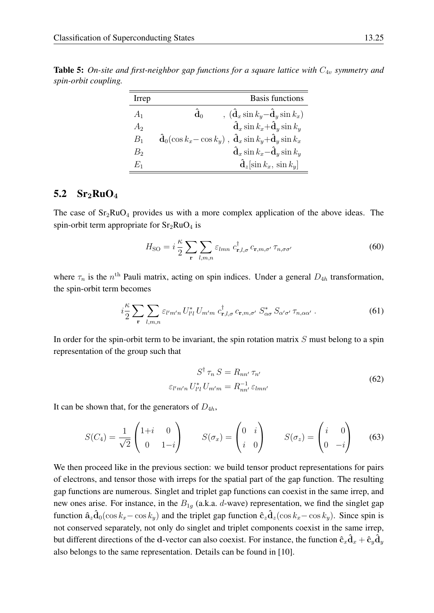<span id="page-24-1"></span>**Table 5:** On-site and first-neighbor gap functions for a square lattice with  $C_{4v}$  symmetry and *spin-orbit coupling.*

| Irrep          | <b>Basis functions</b>                                                                            |
|----------------|---------------------------------------------------------------------------------------------------|
| $A_1$          | $\hat{\mathbf{d}}_0$<br>$\hat{\mathbf{d}}_x \sin k_y - \hat{\mathbf{d}}_y \sin k_x$               |
| A <sub>2</sub> | $\hat{\mathbf{d}}_x \sin k_x + \hat{\mathbf{d}}_y \sin k_y$                                       |
| $B_1$          | $\mathbf{d}_0(\cos k_x - \cos k_y)$ , $\mathbf{\hat{d}}_x \sin k_y + \mathbf{\hat{d}}_y \sin k_x$ |
| $B_2$          | $\hat{\mathbf{d}}_x \sin k_x - \hat{\mathbf{d}}_y \sin k_y$                                       |
| $E_{\rm 1}$    | $\hat{\mathbf{d}}_z$ sin $k_x$ , sin $k_y$                                                        |

## <span id="page-24-0"></span>5.2  $Sr<sub>2</sub>RuO<sub>4</sub>$

The case of  $Sr<sub>2</sub>RuO<sub>4</sub>$  provides us with a more complex application of the above ideas. The spin-orbit term appropriate for  $Sr<sub>2</sub>RuO<sub>4</sub>$  is

$$
H_{\rm SO} = i \frac{\kappa}{2} \sum_{\mathbf{r}} \sum_{l,m,n} \varepsilon_{lmn} \ c_{\mathbf{r},l,\sigma}^{\dagger} \ c_{\mathbf{r},m,\sigma'} \ \tau_{n,\sigma\sigma'} \tag{60}
$$

where  $\tau_n$  is the  $n^{\text{th}}$  Pauli matrix, acting on spin indices. Under a general  $D_{4h}$  transformation, the spin-orbit term becomes

$$
i\frac{\kappa}{2} \sum_{\mathbf{r}} \sum_{l,m,n} \varepsilon_{l'm'n} U_{l'l}^* U_{m'm} c_{\mathbf{r},l,\sigma}^\dagger c_{\mathbf{r},m,\sigma'} S_{\alpha\sigma}^* S_{\alpha'\sigma'} \tau_{n,\alpha\alpha'}.
$$
 (61)

In order for the spin-orbit term to be invariant, the spin rotation matrix  $S$  must belong to a spin representation of the group such that

$$
S^{\dagger} \tau_n S = R_{nn'} \tau_{n'}
$$
  

$$
\varepsilon_{l'm'n} U_{l'l}^* U_{m'm} = R_{nn'}^{-1} \varepsilon_{lmn'}
$$
 (62)

It can be shown that, for the generators of  $D_{4h}$ ,

$$
S(C_4) = \frac{1}{\sqrt{2}} \begin{pmatrix} 1+i & 0 \\ 0 & 1-i \end{pmatrix} \qquad S(\sigma_x) = \begin{pmatrix} 0 & i \\ i & 0 \end{pmatrix} \qquad S(\sigma_z) = \begin{pmatrix} i & 0 \\ 0 & -i \end{pmatrix} \tag{63}
$$

We then proceed like in the previous section: we build tensor product representations for pairs of electrons, and tensor those with irreps for the spatial part of the gap function. The resulting gap functions are numerous. Singlet and triplet gap functions can coexist in the same irrep, and new ones arise. For instance, in the  $B_{1q}$  (a.k.a. d-wave) representation, we find the singlet gap function  $\hat{\mathbf{a}}_z\hat{\mathbf{d}}_0(\cos k_x - \cos k_y)$  and the triplet gap function  $\hat{\mathbf{c}}_z\hat{\mathbf{d}}_z(\cos k_x - \cos k_y)$ . Since spin is not conserved separately, not only do singlet and triplet components coexist in the same irrep, but different directions of the d-vector can also coexist. For instance, the function  $\hat{c}_x\hat{d}_x + \hat{c}_y\hat{d}_y$ also belongs to the same representation. Details can be found in [\[10\]](#page-26-8).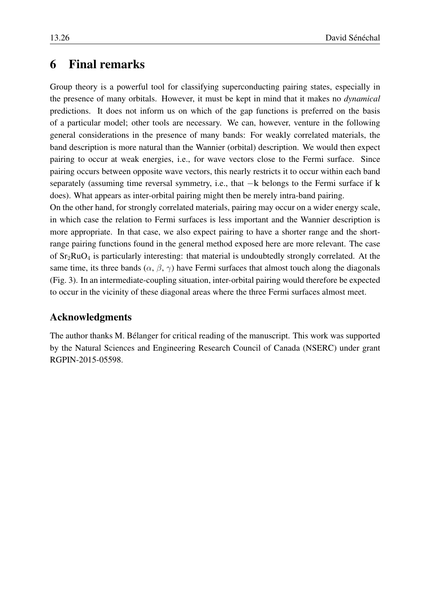# <span id="page-25-0"></span>6 Final remarks

Group theory is a powerful tool for classifying superconducting pairing states, especially in the presence of many orbitals. However, it must be kept in mind that it makes no *dynamical* predictions. It does not inform us on which of the gap functions is preferred on the basis of a particular model; other tools are necessary. We can, however, venture in the following general considerations in the presence of many bands: For weakly correlated materials, the band description is more natural than the Wannier (orbital) description. We would then expect pairing to occur at weak energies, i.e., for wave vectors close to the Fermi surface. Since pairing occurs between opposite wave vectors, this nearly restricts it to occur within each band separately (assuming time reversal symmetry, i.e., that −k belongs to the Fermi surface if k does). What appears as inter-orbital pairing might then be merely intra-band pairing.

On the other hand, for strongly correlated materials, pairing may occur on a wider energy scale, in which case the relation to Fermi surfaces is less important and the Wannier description is more appropriate. In that case, we also expect pairing to have a shorter range and the shortrange pairing functions found in the general method exposed here are more relevant. The case of  $Sr<sub>2</sub>RuO<sub>4</sub>$  is particularly interesting: that material is undoubtedly strongly correlated. At the same time, its three bands  $(\alpha, \beta, \gamma)$  have Fermi surfaces that almost touch along the diagonals (Fig. [3\)](#page-18-0). In an intermediate-coupling situation, inter-orbital pairing would therefore be expected to occur in the vicinity of these diagonal areas where the three Fermi surfaces almost meet.

### Acknowledgments

The author thanks M. Bélanger for critical reading of the manuscript. This work was supported by the Natural Sciences and Engineering Research Council of Canada (NSERC) under grant RGPIN-2015-05598.